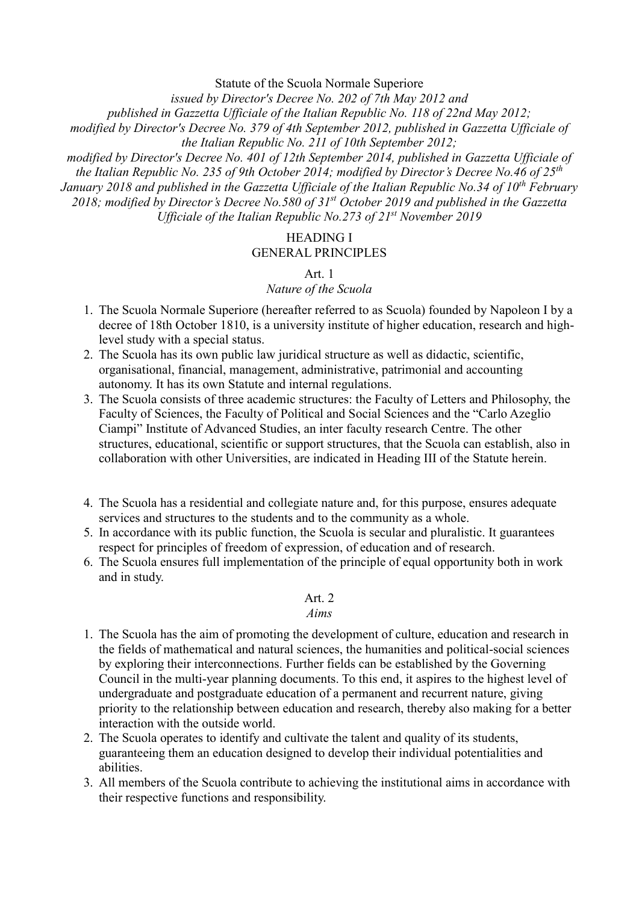Statute of the Scuola Normale Superiore

*issued by Director's Decree No. 202 of 7th May 2012 and*

*published in Gazzetta Ufficiale of the Italian Republic No. 118 of 22nd May 2012;* 

*modified by Director's Decree No. 379 of 4th September 2012, published in Gazzetta Ufficiale of the Italian Republic No. 211 of 10th September 2012;* 

*modified by Director's Decree No. 401 of 12th September 2014, published in Gazzetta Ufficiale of the Italian Republic No. 235 of 9th October 2014; modified by Director's Decree No.46 of 25th January 2018 and published in the Gazzetta Ufficiale of the Italian Republic No.34 of 10th February 2018; modified by Director's Decree No.580 of 31st October 2019 and published in the Gazzetta Ufficiale of the Italian Republic No.273 of 21 st November 2019*

### HEADING I GENERAL PRINCIPLES

### Art. 1

### *Nature of the Scuola*

- 1. The Scuola Normale Superiore (hereafter referred to as Scuola) founded by Napoleon I by a decree of 18th October 1810, is a university institute of higher education, research and highlevel study with a special status.
- 2. The Scuola has its own public law juridical structure as well as didactic, scientific, organisational, financial, management, administrative, patrimonial and accounting autonomy. It has its own Statute and internal regulations.
- 3. The Scuola consists of three academic structures: the Faculty of Letters and Philosophy, the Faculty of Sciences, the Faculty of Political and Social Sciences and the "Carlo Azeglio Ciampi" Institute of Advanced Studies, an inter faculty research Centre. The other structures, educational, scientific or support structures, that the Scuola can establish, also in collaboration with other Universities, are indicated in Heading III of the Statute herein.
- 4. The Scuola has a residential and collegiate nature and, for this purpose, ensures adequate services and structures to the students and to the community as a whole.
- 5. In accordance with its public function, the Scuola is secular and pluralistic. It guarantees respect for principles of freedom of expression, of education and of research.
- 6. The Scuola ensures full implementation of the principle of equal opportunity both in work and in study.

### Art. 2

### *Aims*

- 1. The Scuola has the aim of promoting the development of culture, education and research in the fields of mathematical and natural sciences, the humanities and political-social sciences by exploring their interconnections. Further fields can be established by the Governing Council in the multi-year planning documents. To this end, it aspires to the highest level of undergraduate and postgraduate education of a permanent and recurrent nature, giving priority to the relationship between education and research, thereby also making for a better interaction with the outside world.
- 2. The Scuola operates to identify and cultivate the talent and quality of its students, guaranteeing them an education designed to develop their individual potentialities and abilities.
- 3. All members of the Scuola contribute to achieving the institutional aims in accordance with their respective functions and responsibility.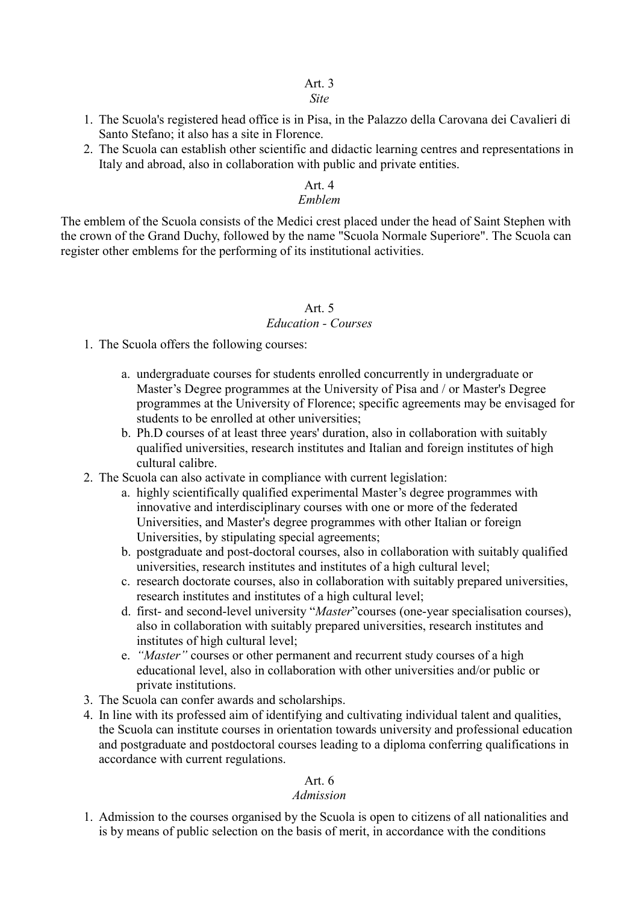### *Site*

- 1. The Scuola's registered head office is in Pisa, in the Palazzo della Carovana dei Cavalieri di Santo Stefano; it also has a site in Florence.
- 2. The Scuola can establish other scientific and didactic learning centres and representations in Italy and abroad, also in collaboration with public and private entities.

### Art. 4

### *Emblem*

The emblem of the Scuola consists of the Medici crest placed under the head of Saint Stephen with the crown of the Grand Duchy, followed by the name "Scuola Normale Superiore". The Scuola can register other emblems for the performing of its institutional activities.

### Art. 5

### *Education - Courses*

- 1. The Scuola offers the following courses:
	- a. undergraduate courses for students enrolled concurrently in undergraduate or Master's Degree programmes at the University of Pisa and / or Master's Degree programmes at the University of Florence; specific agreements may be envisaged for students to be enrolled at other universities;
	- b. Ph.D courses of at least three years' duration, also in collaboration with suitably qualified universities, research institutes and Italian and foreign institutes of high cultural calibre.
- 2. The Scuola can also activate in compliance with current legislation:
	- a. highly scientifically qualified experimental Master's degree programmes with innovative and interdisciplinary courses with one or more of the federated Universities, and Master's degree programmes with other Italian or foreign Universities, by stipulating special agreements;
	- b. postgraduate and post-doctoral courses, also in collaboration with suitably qualified universities, research institutes and institutes of a high cultural level;
	- c. research doctorate courses, also in collaboration with suitably prepared universities, research institutes and institutes of a high cultural level;
	- d. first- and second-level university "*Master*"courses (one-year specialisation courses), also in collaboration with suitably prepared universities, research institutes and institutes of high cultural level;
	- e. *"Master"* courses or other permanent and recurrent study courses of a high educational level, also in collaboration with other universities and/or public or private institutions.
- 3. The Scuola can confer awards and scholarships.
- 4. In line with its professed aim of identifying and cultivating individual talent and qualities, the Scuola can institute courses in orientation towards university and professional education and postgraduate and postdoctoral courses leading to a diploma conferring qualifications in accordance with current regulations.

### Art. 6

### *Admission*

1. Admission to the courses organised by the Scuola is open to citizens of all nationalities and is by means of public selection on the basis of merit, in accordance with the conditions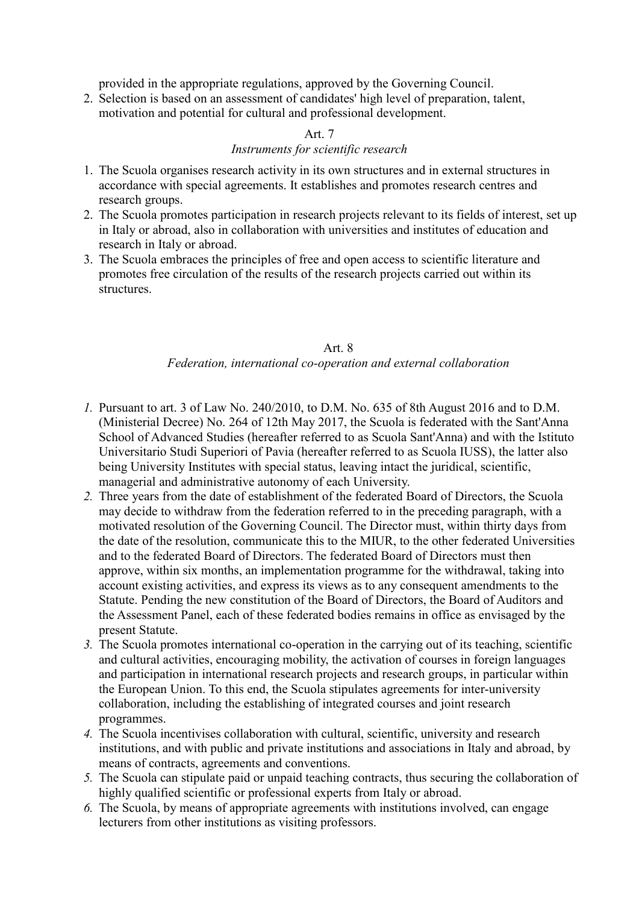provided in the appropriate regulations, approved by the Governing Council.

2. Selection is based on an assessment of candidates' high level of preparation, talent, motivation and potential for cultural and professional development.

### Art. 7

### *Instruments for scientific research*

- 1. The Scuola organises research activity in its own structures and in external structures in accordance with special agreements. It establishes and promotes research centres and research groups.
- 2. The Scuola promotes participation in research projects relevant to its fields of interest, set up in Italy or abroad, also in collaboration with universities and institutes of education and research in Italy or abroad.
- 3. The Scuola embraces the principles of free and open access to scientific literature and promotes free circulation of the results of the research projects carried out within its structures.

### Art. 8 *Federation, international co-operation and external collaboration*

- *1.* Pursuant to art. 3 of Law No. 240/2010, to D.M. No. 635 of 8th August 2016 and to D.M. (Ministerial Decree) No. 264 of 12th May 2017, the Scuola is federated with the Sant'Anna School of Advanced Studies (hereafter referred to as Scuola Sant'Anna) and with the Istituto Universitario Studi Superiori of Pavia (hereafter referred to as Scuola IUSS), the latter also being University Institutes with special status, leaving intact the juridical, scientific, managerial and administrative autonomy of each University.
- *2.* Three years from the date of establishment of the federated Board of Directors, the Scuola may decide to withdraw from the federation referred to in the preceding paragraph, with a motivated resolution of the Governing Council. The Director must, within thirty days from the date of the resolution, communicate this to the MIUR, to the other federated Universities and to the federated Board of Directors. The federated Board of Directors must then approve, within six months, an implementation programme for the withdrawal, taking into account existing activities, and express its views as to any consequent amendments to the Statute. Pending the new constitution of the Board of Directors, the Board of Auditors and the Assessment Panel, each of these federated bodies remains in office as envisaged by the present Statute.
- *3.* The Scuola promotes international co-operation in the carrying out of its teaching, scientific and cultural activities, encouraging mobility, the activation of courses in foreign languages and participation in international research projects and research groups, in particular within the European Union. To this end, the Scuola stipulates agreements for inter-university collaboration, including the establishing of integrated courses and joint research programmes.
- *4.* The Scuola incentivises collaboration with cultural, scientific, university and research institutions, and with public and private institutions and associations in Italy and abroad, by means of contracts, agreements and conventions.
- *5.* The Scuola can stipulate paid or unpaid teaching contracts, thus securing the collaboration of highly qualified scientific or professional experts from Italy or abroad.
- *6.* The Scuola, by means of appropriate agreements with institutions involved, can engage lecturers from other institutions as visiting professors.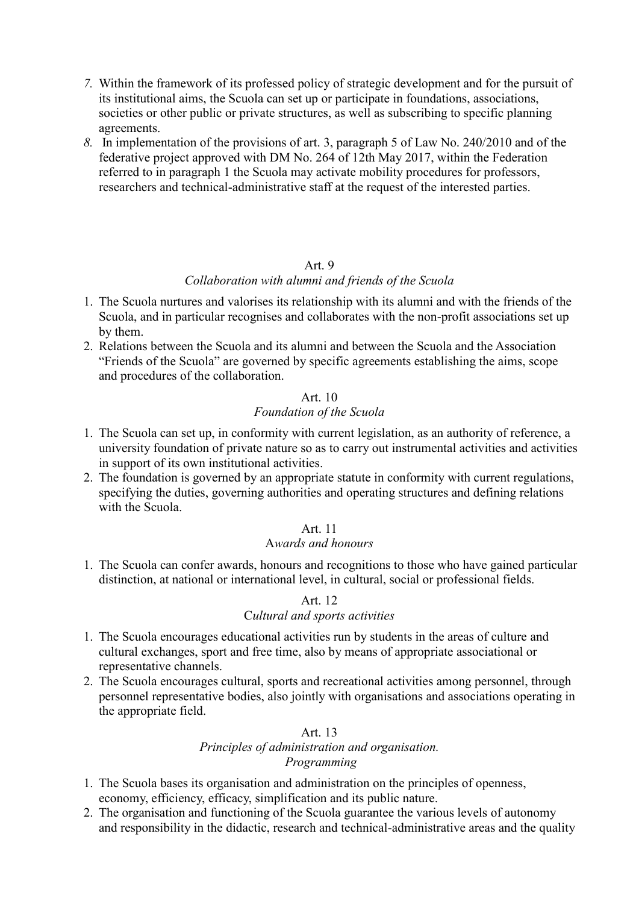- *7.* Within the framework of its professed policy of strategic development and for the pursuit of its institutional aims, the Scuola can set up or participate in foundations, associations, societies or other public or private structures, as well as subscribing to specific planning agreements.
- *8.* In implementation of the provisions of art. 3, paragraph 5 of Law No. 240/2010 and of the federative project approved with DM No. 264 of 12th May 2017, within the Federation referred to in paragraph 1 the Scuola may activate mobility procedures for professors, researchers and technical-administrative staff at the request of the interested parties.

### *Collaboration with alumni and friends of the Scuola*

- 1. The Scuola nurtures and valorises its relationship with its alumni and with the friends of the Scuola, and in particular recognises and collaborates with the non-profit associations set up by them.
- 2. Relations between the Scuola and its alumni and between the Scuola and the Association "Friends of the Scuola" are governed by specific agreements establishing the aims, scope and procedures of the collaboration.

#### Art. 10 *Foundation of the Scuola*

- 1. The Scuola can set up, in conformity with current legislation, as an authority of reference, a university foundation of private nature so as to carry out instrumental activities and activities in support of its own institutional activities.
- 2. The foundation is governed by an appropriate statute in conformity with current regulations, specifying the duties, governing authorities and operating structures and defining relations with the Scuola.

### Art. 11

### A*wards and honours*

1. The Scuola can confer awards, honours and recognitions to those who have gained particular distinction, at national or international level, in cultural, social or professional fields.

#### Art. 12

### C*ultural and sports activities*

- 1. The Scuola encourages educational activities run by students in the areas of culture and cultural exchanges, sport and free time, also by means of appropriate associational or representative channels.
- 2. The Scuola encourages cultural, sports and recreational activities among personnel, through personnel representative bodies, also jointly with organisations and associations operating in the appropriate field.

#### Art. 13

## *Principles of administration and organisation. Programming*

- 1. The Scuola bases its organisation and administration on the principles of openness, economy, efficiency, efficacy, simplification and its public nature.
- 2. The organisation and functioning of the Scuola guarantee the various levels of autonomy and responsibility in the didactic, research and technical-administrative areas and the quality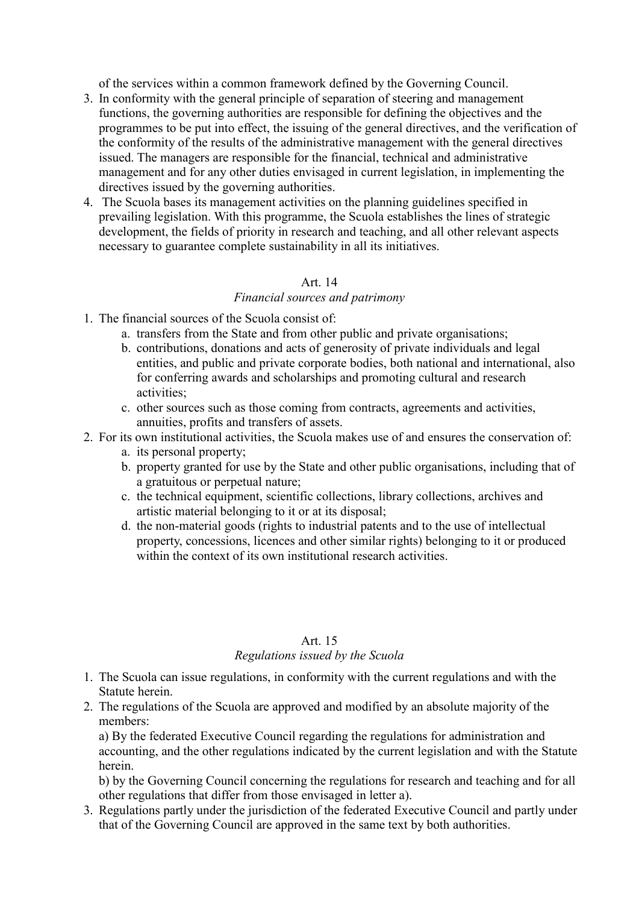of the services within a common framework defined by the Governing Council.

- 3. In conformity with the general principle of separation of steering and management functions, the governing authorities are responsible for defining the objectives and the programmes to be put into effect, the issuing of the general directives, and the verification of the conformity of the results of the administrative management with the general directives issued. The managers are responsible for the financial, technical and administrative management and for any other duties envisaged in current legislation, in implementing the directives issued by the governing authorities.
- 4. The Scuola bases its management activities on the planning guidelines specified in prevailing legislation. With this programme, the Scuola establishes the lines of strategic development, the fields of priority in research and teaching, and all other relevant aspects necessary to guarantee complete sustainability in all its initiatives.

### Art. 14

#### *Financial sources and patrimony*

- 1. The financial sources of the Scuola consist of:
	- a. transfers from the State and from other public and private organisations;
	- b. contributions, donations and acts of generosity of private individuals and legal entities, and public and private corporate bodies, both national and international, also for conferring awards and scholarships and promoting cultural and research activities;
	- c. other sources such as those coming from contracts, agreements and activities, annuities, profits and transfers of assets.
- 2. For its own institutional activities, the Scuola makes use of and ensures the conservation of:
	- a. its personal property;
	- b. property granted for use by the State and other public organisations, including that of a gratuitous or perpetual nature;
	- c. the technical equipment, scientific collections, library collections, archives and artistic material belonging to it or at its disposal;
	- d. the non-material goods (rights to industrial patents and to the use of intellectual property, concessions, licences and other similar rights) belonging to it or produced within the context of its own institutional research activities.

# Art. 15

### *Regulations issued by the Scuola*

- 1. The Scuola can issue regulations, in conformity with the current regulations and with the Statute herein.
- 2. The regulations of the Scuola are approved and modified by an absolute majority of the members:

a) By the federated Executive Council regarding the regulations for administration and accounting, and the other regulations indicated by the current legislation and with the Statute herein.

b) by the Governing Council concerning the regulations for research and teaching and for all other regulations that differ from those envisaged in letter a).

3. Regulations partly under the jurisdiction of the federated Executive Council and partly under that of the Governing Council are approved in the same text by both authorities.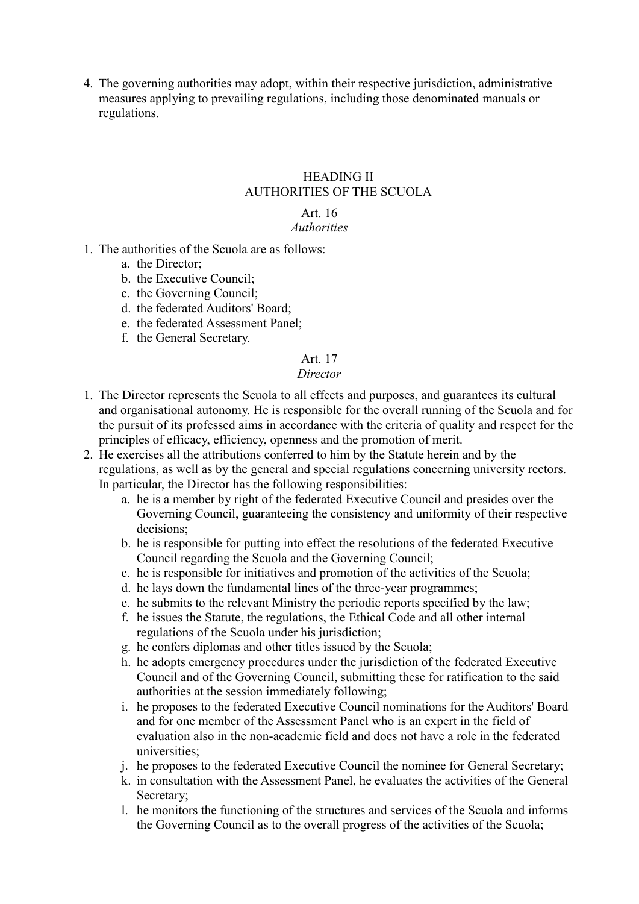4. The governing authorities may adopt, within their respective jurisdiction, administrative measures applying to prevailing regulations, including those denominated manuals or regulations.

#### HEADING II AUTHORITIES OF THE SCUOLA

#### Art. 16 *Authorities*

- 1. The authorities of the Scuola are as follows:
	- a. the Director;
	- b. the Executive Council;
	- c. the Governing Council;
	- d. the federated Auditors' Board;
	- e. the federated Assessment Panel;
	- f. the General Secretary.

## Art. 17

### *Director*

- 1. The Director represents the Scuola to all effects and purposes, and guarantees its cultural and organisational autonomy. He is responsible for the overall running of the Scuola and for the pursuit of its professed aims in accordance with the criteria of quality and respect for the principles of efficacy, efficiency, openness and the promotion of merit.
- 2. He exercises all the attributions conferred to him by the Statute herein and by the regulations, as well as by the general and special regulations concerning university rectors. In particular, the Director has the following responsibilities:
	- a. he is a member by right of the federated Executive Council and presides over the Governing Council, guaranteeing the consistency and uniformity of their respective decisions;
	- b. he is responsible for putting into effect the resolutions of the federated Executive Council regarding the Scuola and the Governing Council;
	- c. he is responsible for initiatives and promotion of the activities of the Scuola;
	- d. he lays down the fundamental lines of the three-year programmes;
	- e. he submits to the relevant Ministry the periodic reports specified by the law;
	- f. he issues the Statute, the regulations, the Ethical Code and all other internal regulations of the Scuola under his jurisdiction;
	- g. he confers diplomas and other titles issued by the Scuola;
	- h. he adopts emergency procedures under the jurisdiction of the federated Executive Council and of the Governing Council, submitting these for ratification to the said authorities at the session immediately following;
	- i. he proposes to the federated Executive Council nominations for the Auditors' Board and for one member of the Assessment Panel who is an expert in the field of evaluation also in the non-academic field and does not have a role in the federated universities;
	- j. he proposes to the federated Executive Council the nominee for General Secretary;
	- k. in consultation with the Assessment Panel, he evaluates the activities of the General Secretary;
	- l. he monitors the functioning of the structures and services of the Scuola and informs the Governing Council as to the overall progress of the activities of the Scuola;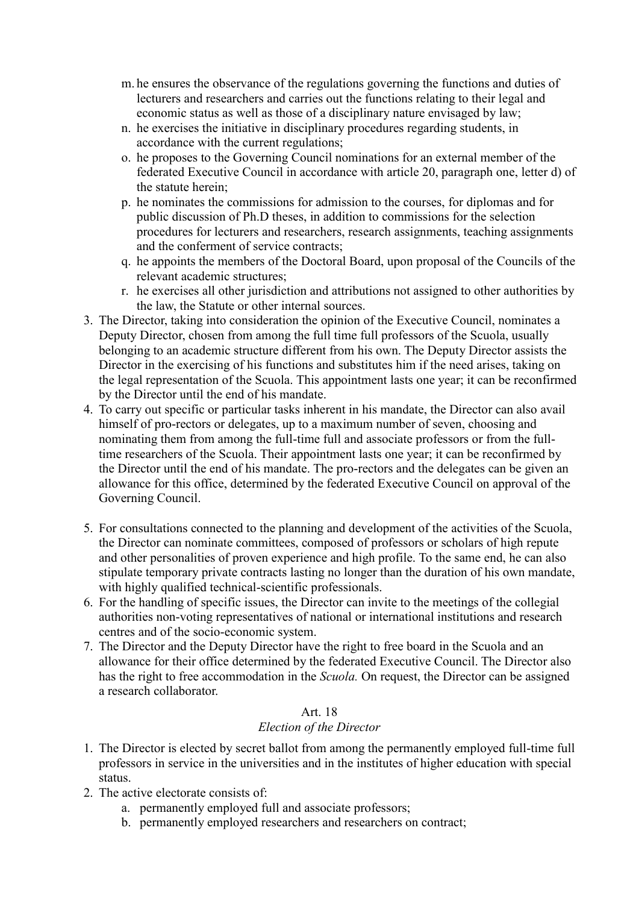- m. he ensures the observance of the regulations governing the functions and duties of lecturers and researchers and carries out the functions relating to their legal and economic status as well as those of a disciplinary nature envisaged by law;
- n. he exercises the initiative in disciplinary procedures regarding students, in accordance with the current regulations;
- o. he proposes to the Governing Council nominations for an external member of the federated Executive Council in accordance with article 20, paragraph one, letter d) of the statute herein;
- p. he nominates the commissions for admission to the courses, for diplomas and for public discussion of Ph.D theses, in addition to commissions for the selection procedures for lecturers and researchers, research assignments, teaching assignments and the conferment of service contracts;
- q. he appoints the members of the Doctoral Board, upon proposal of the Councils of the relevant academic structures;
- r. he exercises all other jurisdiction and attributions not assigned to other authorities by the law, the Statute or other internal sources.
- 3. The Director, taking into consideration the opinion of the Executive Council, nominates a Deputy Director, chosen from among the full time full professors of the Scuola, usually belonging to an academic structure different from his own. The Deputy Director assists the Director in the exercising of his functions and substitutes him if the need arises, taking on the legal representation of the Scuola. This appointment lasts one year; it can be reconfirmed by the Director until the end of his mandate.
- 4. To carry out specific or particular tasks inherent in his mandate, the Director can also avail himself of pro-rectors or delegates, up to a maximum number of seven, choosing and nominating them from among the full-time full and associate professors or from the fulltime researchers of the Scuola. Their appointment lasts one year; it can be reconfirmed by the Director until the end of his mandate. The pro-rectors and the delegates can be given an allowance for this office, determined by the federated Executive Council on approval of the Governing Council.
- 5. For consultations connected to the planning and development of the activities of the Scuola, the Director can nominate committees, composed of professors or scholars of high repute and other personalities of proven experience and high profile. To the same end, he can also stipulate temporary private contracts lasting no longer than the duration of his own mandate, with highly qualified technical-scientific professionals.
- 6. For the handling of specific issues, the Director can invite to the meetings of the collegial authorities non-voting representatives of national or international institutions and research centres and of the socio-economic system.
- 7. The Director and the Deputy Director have the right to free board in the Scuola and an allowance for their office determined by the federated Executive Council. The Director also has the right to free accommodation in the *Scuola.* On request, the Director can be assigned a research collaborator.

### *Election of the Director*

- 1. The Director is elected by secret ballot from among the permanently employed full-time full professors in service in the universities and in the institutes of higher education with special status.
- 2. The active electorate consists of:
	- a. permanently employed full and associate professors;
	- b. permanently employed researchers and researchers on contract;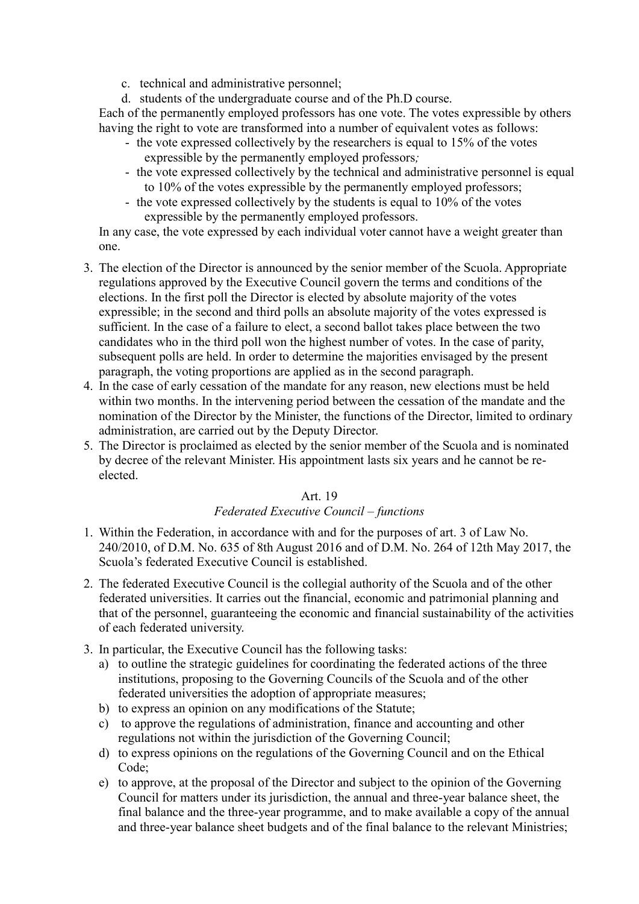- c. technical and administrative personnel;
- d. students of the undergraduate course and of the Ph.D course.

Each of the permanently employed professors has one vote. The votes expressible by others having the right to vote are transformed into a number of equivalent votes as follows:

- the vote expressed collectively by the researchers is equal to 15% of the votes expressible by the permanently employed professors*;*
- the vote expressed collectively by the technical and administrative personnel is equal to 10% of the votes expressible by the permanently employed professors;
- the vote expressed collectively by the students is equal to 10% of the votes expressible by the permanently employed professors.

In any case, the vote expressed by each individual voter cannot have a weight greater than one.

- 3. The election of the Director is announced by the senior member of the Scuola. Appropriate regulations approved by the Executive Council govern the terms and conditions of the elections. In the first poll the Director is elected by absolute majority of the votes expressible; in the second and third polls an absolute majority of the votes expressed is sufficient. In the case of a failure to elect, a second ballot takes place between the two candidates who in the third poll won the highest number of votes. In the case of parity, subsequent polls are held. In order to determine the majorities envisaged by the present paragraph, the voting proportions are applied as in the second paragraph.
- 4. In the case of early cessation of the mandate for any reason, new elections must be held within two months. In the intervening period between the cessation of the mandate and the nomination of the Director by the Minister, the functions of the Director, limited to ordinary administration, are carried out by the Deputy Director.
- 5. The Director is proclaimed as elected by the senior member of the Scuola and is nominated by decree of the relevant Minister. His appointment lasts six years and he cannot be reelected.

### Art. 19

### *Federated Executive Council – functions*

- 1. Within the Federation, in accordance with and for the purposes of art. 3 of Law No. 240/2010, of D.M. No. 635 of 8th August 2016 and of D.M. No. 264 of 12th May 2017, the Scuola's federated Executive Council is established.
- 2. The federated Executive Council is the collegial authority of the Scuola and of the other federated universities. It carries out the financial, economic and patrimonial planning and that of the personnel, guaranteeing the economic and financial sustainability of the activities of each federated university.
- 3. In particular, the Executive Council has the following tasks:
	- a) to outline the strategic guidelines for coordinating the federated actions of the three institutions, proposing to the Governing Councils of the Scuola and of the other federated universities the adoption of appropriate measures;
	- b) to express an opinion on any modifications of the Statute;
	- c) to approve the regulations of administration, finance and accounting and other regulations not within the jurisdiction of the Governing Council;
	- d) to express opinions on the regulations of the Governing Council and on the Ethical Code;
	- e) to approve, at the proposal of the Director and subject to the opinion of the Governing Council for matters under its jurisdiction, the annual and three-year balance sheet, the final balance and the three-year programme, and to make available a copy of the annual and three-year balance sheet budgets and of the final balance to the relevant Ministries;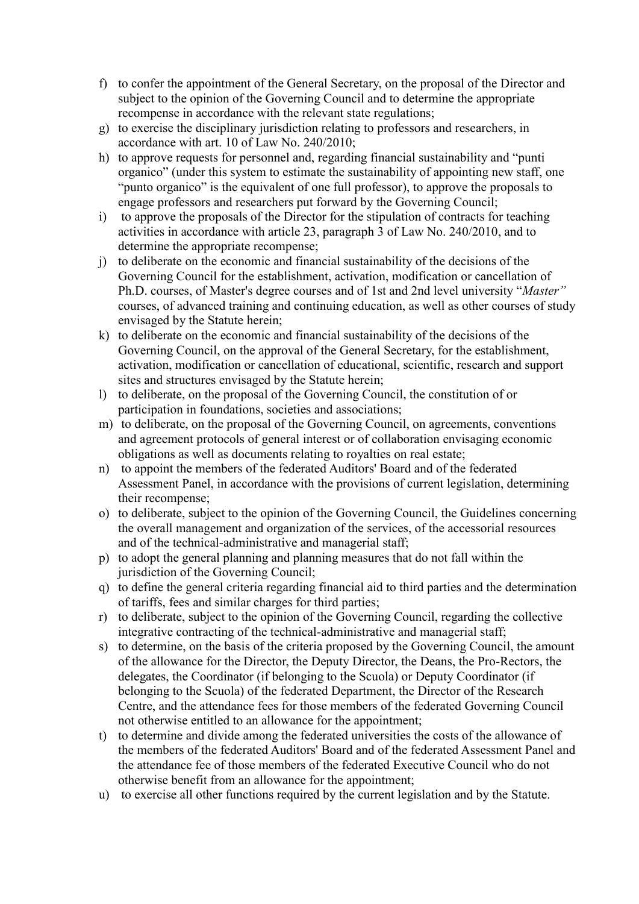- f) to confer the appointment of the General Secretary, on the proposal of the Director and subject to the opinion of the Governing Council and to determine the appropriate recompense in accordance with the relevant state regulations;
- g) to exercise the disciplinary jurisdiction relating to professors and researchers, in accordance with art. 10 of Law No. 240/2010;
- h) to approve requests for personnel and, regarding financial sustainability and "punti organico" (under this system to estimate the sustainability of appointing new staff, one "punto organico" is the equivalent of one full professor), to approve the proposals to engage professors and researchers put forward by the Governing Council;
- i) to approve the proposals of the Director for the stipulation of contracts for teaching activities in accordance with article 23, paragraph 3 of Law No. 240/2010, and to determine the appropriate recompense;
- j) to deliberate on the economic and financial sustainability of the decisions of the Governing Council for the establishment, activation, modification or cancellation of Ph.D. courses, of Master's degree courses and of 1st and 2nd level university "*Master"* courses, of advanced training and continuing education, as well as other courses of study envisaged by the Statute herein;
- k) to deliberate on the economic and financial sustainability of the decisions of the Governing Council, on the approval of the General Secretary, for the establishment, activation, modification or cancellation of educational, scientific, research and support sites and structures envisaged by the Statute herein;
- l) to deliberate, on the proposal of the Governing Council, the constitution of or participation in foundations, societies and associations;
- m) to deliberate, on the proposal of the Governing Council, on agreements, conventions and agreement protocols of general interest or of collaboration envisaging economic obligations as well as documents relating to royalties on real estate;
- n) to appoint the members of the federated Auditors' Board and of the federated Assessment Panel, in accordance with the provisions of current legislation, determining their recompense;
- o) to deliberate, subject to the opinion of the Governing Council, the Guidelines concerning the overall management and organization of the services, of the accessorial resources and of the technical-administrative and managerial staff;
- p) to adopt the general planning and planning measures that do not fall within the jurisdiction of the Governing Council;
- q) to define the general criteria regarding financial aid to third parties and the determination of tariffs, fees and similar charges for third parties;
- r) to deliberate, subject to the opinion of the Governing Council, regarding the collective integrative contracting of the technical-administrative and managerial staff;
- s) to determine, on the basis of the criteria proposed by the Governing Council, the amount of the allowance for the Director, the Deputy Director, the Deans, the Pro-Rectors, the delegates, the Coordinator (if belonging to the Scuola) or Deputy Coordinator (if belonging to the Scuola) of the federated Department, the Director of the Research Centre, and the attendance fees for those members of the federated Governing Council not otherwise entitled to an allowance for the appointment;
- t) to determine and divide among the federated universities the costs of the allowance of the members of the federated Auditors' Board and of the federated Assessment Panel and the attendance fee of those members of the federated Executive Council who do not otherwise benefit from an allowance for the appointment;
- u) to exercise all other functions required by the current legislation and by the Statute.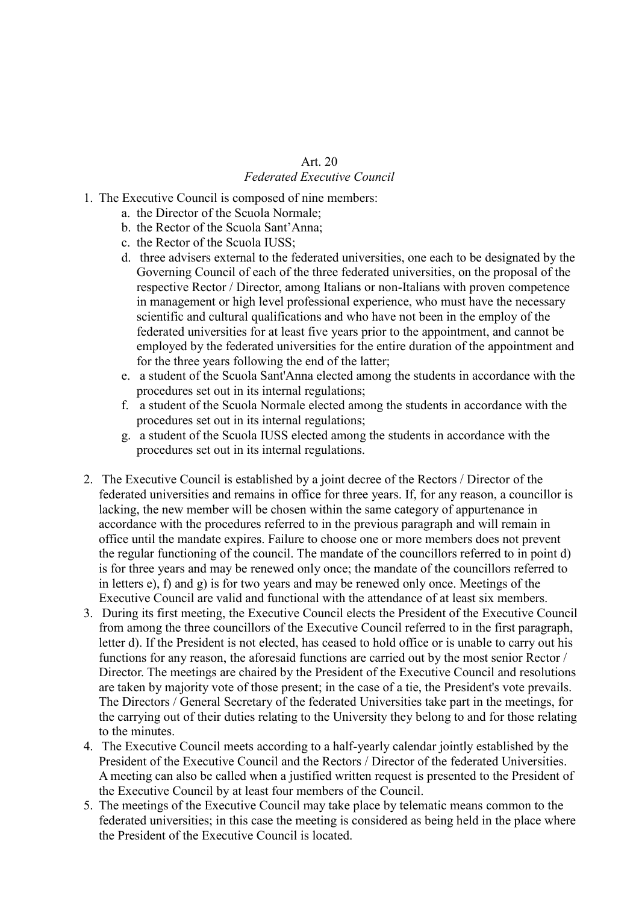### Art. 20 *Federated Executive Council*

- 1. The Executive Council is composed of nine members:
	- a. the Director of the Scuola Normale;
	- b. the Rector of the Scuola Sant'Anna;
	- c. the Rector of the Scuola IUSS;
	- d. three advisers external to the federated universities, one each to be designated by the Governing Council of each of the three federated universities, on the proposal of the respective Rector / Director, among Italians or non-Italians with proven competence in management or high level professional experience, who must have the necessary scientific and cultural qualifications and who have not been in the employ of the federated universities for at least five years prior to the appointment, and cannot be employed by the federated universities for the entire duration of the appointment and for the three years following the end of the latter;
	- e. a student of the Scuola Sant'Anna elected among the students in accordance with the procedures set out in its internal regulations;
	- f. a student of the Scuola Normale elected among the students in accordance with the procedures set out in its internal regulations;
	- g. a student of the Scuola IUSS elected among the students in accordance with the procedures set out in its internal regulations.
- 2. The Executive Council is established by a joint decree of the Rectors / Director of the federated universities and remains in office for three years. If, for any reason, a councillor is lacking, the new member will be chosen within the same category of appurtenance in accordance with the procedures referred to in the previous paragraph and will remain in office until the mandate expires. Failure to choose one or more members does not prevent the regular functioning of the council. The mandate of the councillors referred to in point d) is for three years and may be renewed only once; the mandate of the councillors referred to in letters e), f) and g) is for two years and may be renewed only once. Meetings of the Executive Council are valid and functional with the attendance of at least six members.
- 3. During its first meeting, the Executive Council elects the President of the Executive Council from among the three councillors of the Executive Council referred to in the first paragraph, letter d). If the President is not elected, has ceased to hold office or is unable to carry out his functions for any reason, the aforesaid functions are carried out by the most senior Rector / Director. The meetings are chaired by the President of the Executive Council and resolutions are taken by majority vote of those present; in the case of a tie, the President's vote prevails. The Directors / General Secretary of the federated Universities take part in the meetings, for the carrying out of their duties relating to the University they belong to and for those relating to the minutes.
- 4. The Executive Council meets according to a half-yearly calendar jointly established by the President of the Executive Council and the Rectors / Director of the federated Universities. A meeting can also be called when a justified written request is presented to the President of the Executive Council by at least four members of the Council.
- 5. The meetings of the Executive Council may take place by telematic means common to the federated universities; in this case the meeting is considered as being held in the place where the President of the Executive Council is located.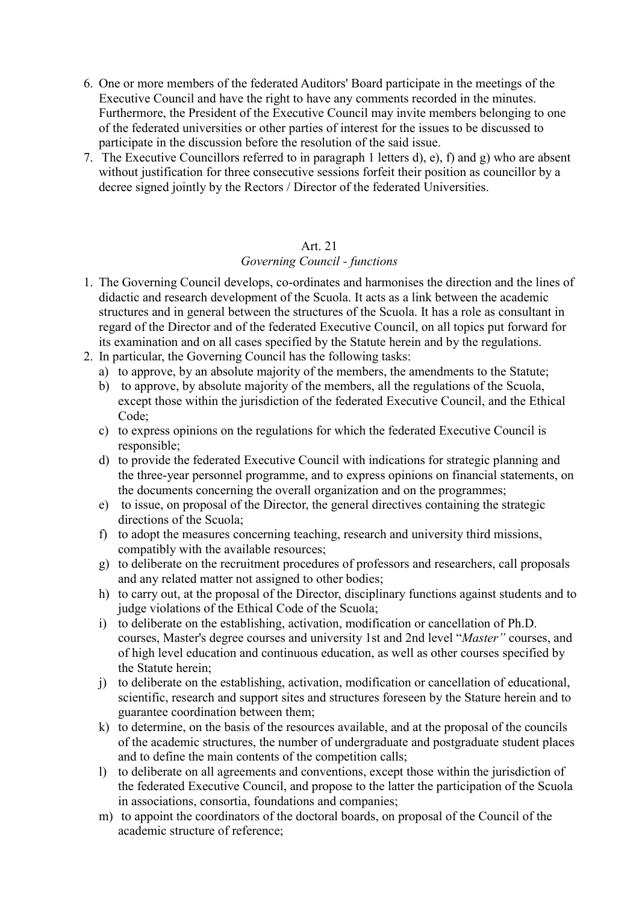- 6. One or more members of the federated Auditors' Board participate in the meetings of the Executive Council and have the right to have any comments recorded in the minutes. Furthermore, the President of the Executive Council may invite members belonging to one of the federated universities or other parties of interest for the issues to be discussed to participate in the discussion before the resolution of the said issue.
- 7. The Executive Councillors referred to in paragraph 1 letters d), e), f) and g) who are absent without justification for three consecutive sessions forfeit their position as councillor by a decree signed jointly by the Rectors / Director of the federated Universities.

### *Governing Council - functions*

- 1. The Governing Council develops, co-ordinates and harmonises the direction and the lines of didactic and research development of the Scuola. It acts as a link between the academic structures and in general between the structures of the Scuola. It has a role as consultant in regard of the Director and of the federated Executive Council, on all topics put forward for its examination and on all cases specified by the Statute herein and by the regulations.
- 2. In particular, the Governing Council has the following tasks:
	- a) to approve, by an absolute majority of the members, the amendments to the Statute;
	- b) to approve, by absolute majority of the members, all the regulations of the Scuola, except those within the jurisdiction of the federated Executive Council, and the Ethical Code;
	- c) to express opinions on the regulations for which the federated Executive Council is responsible;
	- d) to provide the federated Executive Council with indications for strategic planning and the three-year personnel programme, and to express opinions on financial statements, on the documents concerning the overall organization and on the programmes;
	- e) to issue, on proposal of the Director, the general directives containing the strategic directions of the Scuola;
	- f) to adopt the measures concerning teaching, research and university third missions, compatibly with the available resources;
	- g) to deliberate on the recruitment procedures of professors and researchers, call proposals and any related matter not assigned to other bodies;
	- h) to carry out, at the proposal of the Director, disciplinary functions against students and to judge violations of the Ethical Code of the Scuola;
	- i) to deliberate on the establishing, activation, modification or cancellation of Ph.D. courses, Master's degree courses and university 1st and 2nd level "*Master"* courses, and of high level education and continuous education, as well as other courses specified by the Statute herein;
	- j) to deliberate on the establishing, activation, modification or cancellation of educational, scientific, research and support sites and structures foreseen by the Stature herein and to guarantee coordination between them;
	- k) to determine, on the basis of the resources available, and at the proposal of the councils of the academic structures, the number of undergraduate and postgraduate student places and to define the main contents of the competition calls;
	- l) to deliberate on all agreements and conventions, except those within the jurisdiction of the federated Executive Council, and propose to the latter the participation of the Scuola in associations, consortia, foundations and companies;
	- m) to appoint the coordinators of the doctoral boards, on proposal of the Council of the academic structure of reference;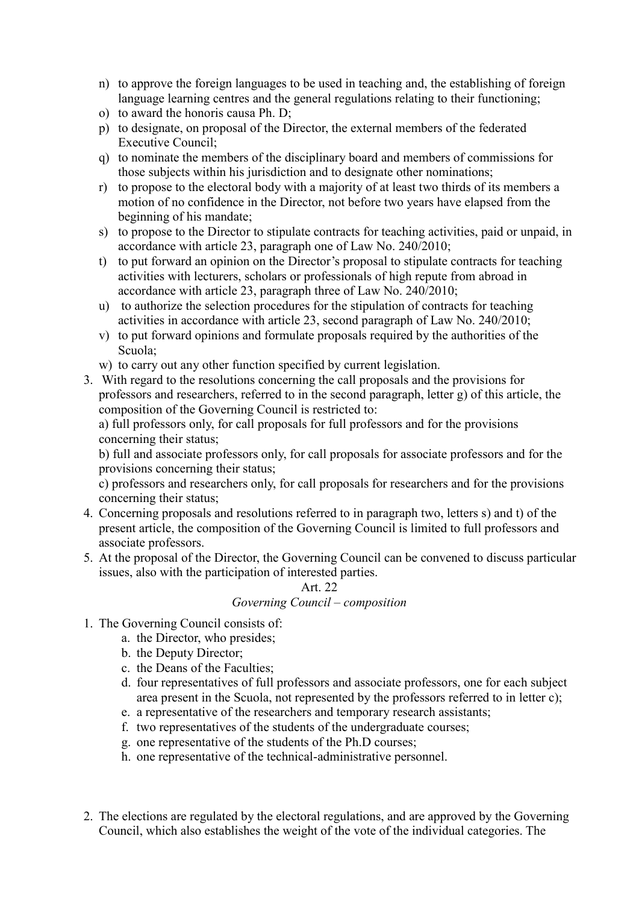- n) to approve the foreign languages to be used in teaching and, the establishing of foreign language learning centres and the general regulations relating to their functioning;
- o) to award the honoris causa Ph. D;
- p) to designate, on proposal of the Director, the external members of the federated Executive Council:
- q) to nominate the members of the disciplinary board and members of commissions for those subjects within his jurisdiction and to designate other nominations;
- r) to propose to the electoral body with a majority of at least two thirds of its members a motion of no confidence in the Director, not before two years have elapsed from the beginning of his mandate;
- s) to propose to the Director to stipulate contracts for teaching activities, paid or unpaid, in accordance with article 23, paragraph one of Law No. 240/2010;
- t) to put forward an opinion on the Director's proposal to stipulate contracts for teaching activities with lecturers, scholars or professionals of high repute from abroad in accordance with article 23, paragraph three of Law No. 240/2010;
- u) to authorize the selection procedures for the stipulation of contracts for teaching activities in accordance with article 23, second paragraph of Law No. 240/2010;
- v) to put forward opinions and formulate proposals required by the authorities of the Scuola;
- w) to carry out any other function specified by current legislation.
- 3. With regard to the resolutions concerning the call proposals and the provisions for professors and researchers, referred to in the second paragraph, letter g) of this article, the composition of the Governing Council is restricted to:

a) full professors only, for call proposals for full professors and for the provisions concerning their status;

b) full and associate professors only, for call proposals for associate professors and for the provisions concerning their status;

c) professors and researchers only, for call proposals for researchers and for the provisions concerning their status;

- 4. Concerning proposals and resolutions referred to in paragraph two, letters s) and t) of the present article, the composition of the Governing Council is limited to full professors and associate professors.
- 5. At the proposal of the Director, the Governing Council can be convened to discuss particular issues, also with the participation of interested parties.

### Art. 22 *Governing Council – composition*

- 1. The Governing Council consists of:
	- a. the Director, who presides;
	- b. the Deputy Director;
	- c. the Deans of the Faculties;
	- d. four representatives of full professors and associate professors, one for each subject area present in the Scuola, not represented by the professors referred to in letter c);
	- e. a representative of the researchers and temporary research assistants;
	- f. two representatives of the students of the undergraduate courses;
	- g. one representative of the students of the Ph.D courses;
	- h. one representative of the technical-administrative personnel.
- 2. The elections are regulated by the electoral regulations, and are approved by the Governing Council, which also establishes the weight of the vote of the individual categories. The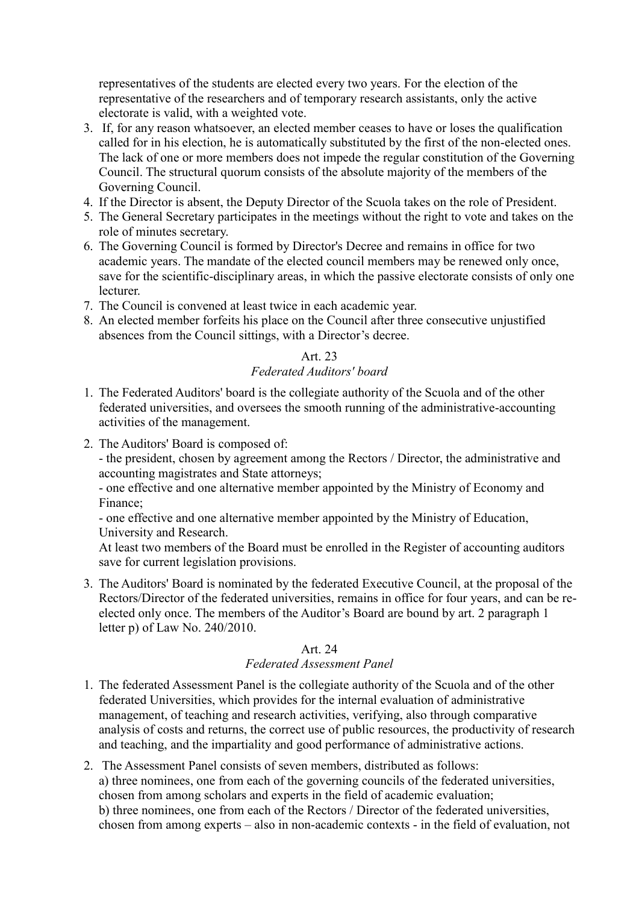representatives of the students are elected every two years. For the election of the representative of the researchers and of temporary research assistants, only the active electorate is valid, with a weighted vote.

- 3. If, for any reason whatsoever, an elected member ceases to have or loses the qualification called for in his election, he is automatically substituted by the first of the non-elected ones. The lack of one or more members does not impede the regular constitution of the Governing Council. The structural quorum consists of the absolute majority of the members of the Governing Council.
- 4. If the Director is absent, the Deputy Director of the Scuola takes on the role of President.
- 5. The General Secretary participates in the meetings without the right to vote and takes on the role of minutes secretary.
- 6. The Governing Council is formed by Director's Decree and remains in office for two academic years. The mandate of the elected council members may be renewed only once, save for the scientific-disciplinary areas, in which the passive electorate consists of only one lecturer.
- 7. The Council is convened at least twice in each academic year.
- 8. An elected member forfeits his place on the Council after three consecutive unjustified absences from the Council sittings, with a Director's decree.

### Art. 23 *Federated Auditors' board*

- 1. The Federated Auditors' board is the collegiate authority of the Scuola and of the other federated universities, and oversees the smooth running of the administrative-accounting activities of the management.
- 2. The Auditors' Board is composed of:

- the president, chosen by agreement among the Rectors / Director, the administrative and accounting magistrates and State attorneys;

- one effective and one alternative member appointed by the Ministry of Economy and Finance;

- one effective and one alternative member appointed by the Ministry of Education, University and Research.

At least two members of the Board must be enrolled in the Register of accounting auditors save for current legislation provisions.

3. The Auditors' Board is nominated by the federated Executive Council, at the proposal of the Rectors/Director of the federated universities, remains in office for four years, and can be reelected only once. The members of the Auditor's Board are bound by art. 2 paragraph 1 letter p) of Law No. 240/2010.

### Art. 24

### *Federated Assessment Panel*

- 1. The federated Assessment Panel is the collegiate authority of the Scuola and of the other federated Universities, which provides for the internal evaluation of administrative management, of teaching and research activities, verifying, also through comparative analysis of costs and returns, the correct use of public resources, the productivity of research and teaching, and the impartiality and good performance of administrative actions.
- 2. The Assessment Panel consists of seven members, distributed as follows: a) three nominees, one from each of the governing councils of the federated universities, chosen from among scholars and experts in the field of academic evaluation; b) three nominees, one from each of the Rectors / Director of the federated universities, chosen from among experts – also in non-academic contexts - in the field of evaluation, not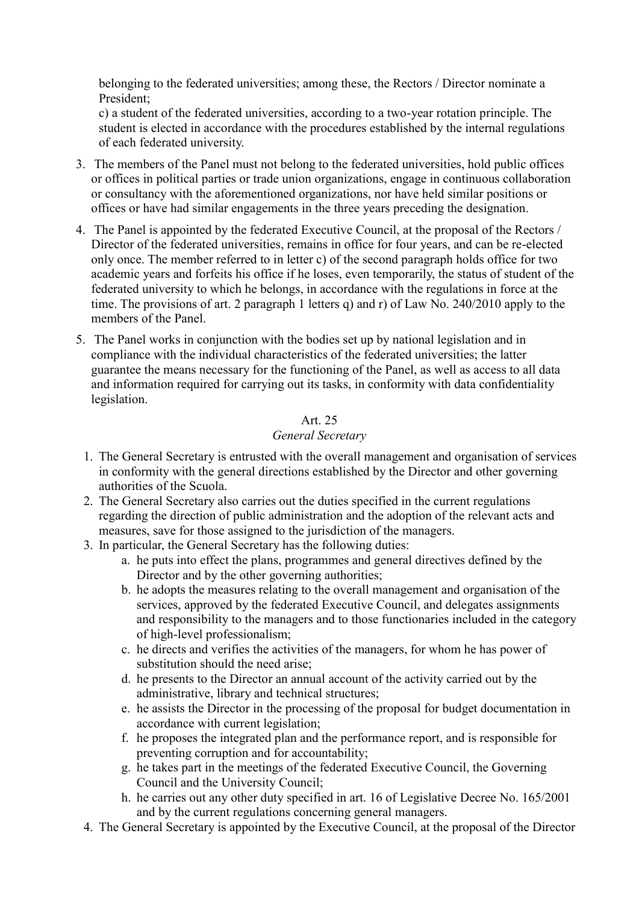belonging to the federated universities; among these, the Rectors / Director nominate a President;

c) a student of the federated universities, according to a two-year rotation principle. The student is elected in accordance with the procedures established by the internal regulations of each federated university.

- 3. The members of the Panel must not belong to the federated universities, hold public offices or offices in political parties or trade union organizations, engage in continuous collaboration or consultancy with the aforementioned organizations, nor have held similar positions or offices or have had similar engagements in the three years preceding the designation.
- 4. The Panel is appointed by the federated Executive Council, at the proposal of the Rectors / Director of the federated universities, remains in office for four years, and can be re-elected only once. The member referred to in letter c) of the second paragraph holds office for two academic years and forfeits his office if he loses, even temporarily, the status of student of the federated university to which he belongs, in accordance with the regulations in force at the time. The provisions of art. 2 paragraph 1 letters q) and r) of Law No. 240/2010 apply to the members of the Panel.
- 5. The Panel works in conjunction with the bodies set up by national legislation and in compliance with the individual characteristics of the federated universities; the latter guarantee the means necessary for the functioning of the Panel, as well as access to all data and information required for carrying out its tasks, in conformity with data confidentiality legislation.

### Art. 25

### *General Secretary*

- 1. The General Secretary is entrusted with the overall management and organisation of services in conformity with the general directions established by the Director and other governing authorities of the Scuola.
- 2. The General Secretary also carries out the duties specified in the current regulations regarding the direction of public administration and the adoption of the relevant acts and measures, save for those assigned to the jurisdiction of the managers.
- 3. In particular, the General Secretary has the following duties:
	- a. he puts into effect the plans, programmes and general directives defined by the Director and by the other governing authorities;
	- b. he adopts the measures relating to the overall management and organisation of the services, approved by the federated Executive Council, and delegates assignments and responsibility to the managers and to those functionaries included in the category of high-level professionalism;
	- c. he directs and verifies the activities of the managers, for whom he has power of substitution should the need arise;
	- d. he presents to the Director an annual account of the activity carried out by the administrative, library and technical structures;
	- e. he assists the Director in the processing of the proposal for budget documentation in accordance with current legislation;
	- f. he proposes the integrated plan and the performance report, and is responsible for preventing corruption and for accountability;
	- g. he takes part in the meetings of the federated Executive Council, the Governing Council and the University Council;
	- h. he carries out any other duty specified in art. 16 of Legislative Decree No. 165/2001 and by the current regulations concerning general managers.
- 4. The General Secretary is appointed by the Executive Council, at the proposal of the Director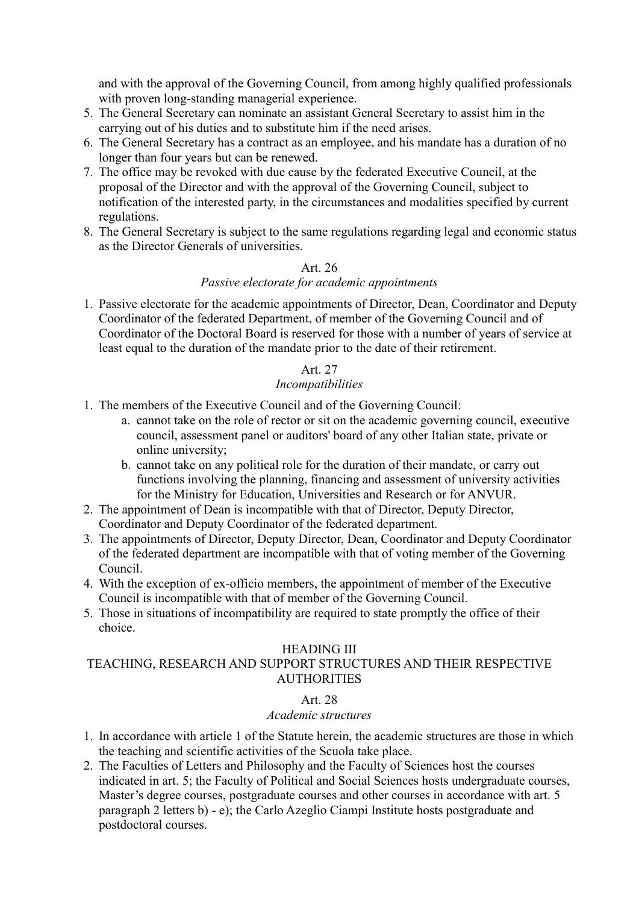and with the approval of the Governing Council, from among highly qualified professionals with proven long-standing managerial experience.

- 5. The General Secretary can nominate an assistant General Secretary to assist him in the carrying out of his duties and to substitute him if the need arises.
- 6. The General Secretary has a contract as an employee, and his mandate has a duration of no longer than four years but can be renewed.
- 7. The office may be revoked with due cause by the federated Executive Council, at the proposal of the Director and with the approval of the Governing Council, subject to notification of the interested party, in the circumstances and modalities specified by current regulations.
- 8. The General Secretary is subject to the same regulations regarding legal and economic status as the Director Generals of universities.

### Art. 26

### *Passive electorate for academic appointments*

1. Passive electorate for the academic appointments of Director, Dean, Coordinator and Deputy Coordinator of the federated Department, of member of the Governing Council and of Coordinator of the Doctoral Board is reserved for those with a number of years of service at least equal to the duration of the mandate prior to the date of their retirement.

### Art. 27

### *Incompatibilities*

- 1. The members of the Executive Council and of the Governing Council:
	- a. cannot take on the role of rector or sit on the academic governing council, executive council, assessment panel or auditors' board of any other Italian state, private or online university;
	- b. cannot take on any political role for the duration of their mandate, or carry out functions involving the planning, financing and assessment of university activities for the Ministry for Education, Universities and Research or for ANVUR.
- 2. The appointment of Dean is incompatible with that of Director, Deputy Director, Coordinator and Deputy Coordinator of the federated department.
- 3. The appointments of Director, Deputy Director, Dean, Coordinator and Deputy Coordinator of the federated department are incompatible with that of voting member of the Governing Council.
- 4. With the exception of ex-officio members, the appointment of member of the Executive Council is incompatible with that of member of the Governing Council.
- 5. Those in situations of incompatibility are required to state promptly the office of their choice.

### HEADING III

### TEACHING, RESEARCH AND SUPPORT STRUCTURES AND THEIR RESPECTIVE **AUTHORITIES**

### Art. 28

### *Academic structures*

- 1. In accordance with article 1 of the Statute herein, the academic structures are those in which the teaching and scientific activities of the Scuola take place.
- 2. The Faculties of Letters and Philosophy and the Faculty of Sciences host the courses indicated in art. 5; the Faculty of Political and Social Sciences hosts undergraduate courses, Master's degree courses, postgraduate courses and other courses in accordance with art. 5 paragraph 2 letters b) - e); the Carlo Azeglio Ciampi Institute hosts postgraduate and postdoctoral courses.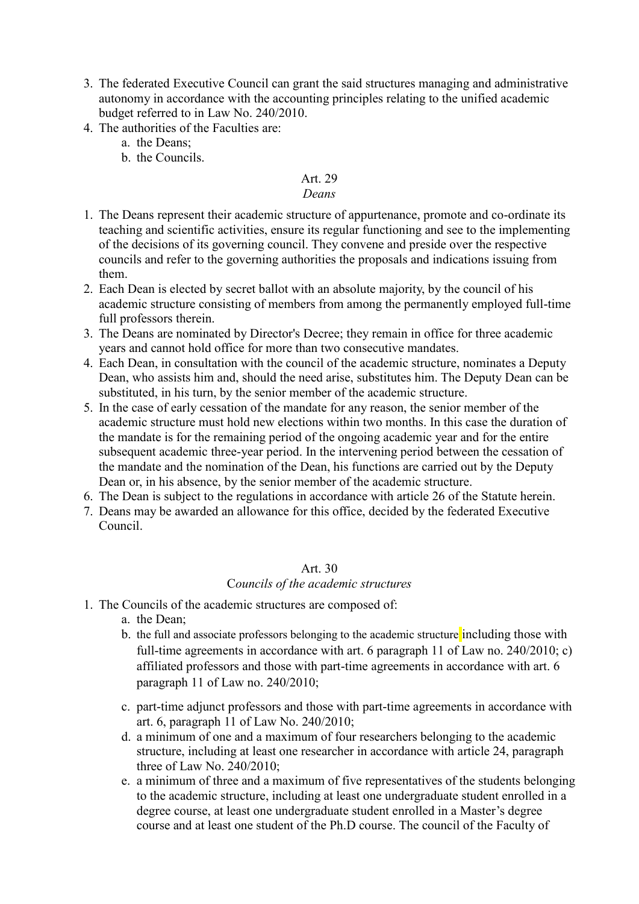- 3. The federated Executive Council can grant the said structures managing and administrative autonomy in accordance with the accounting principles relating to the unified academic budget referred to in Law No. 240/2010.
- 4. The authorities of the Faculties are:
	- a. the Deans;
	- b. the Councils.

### *Deans*

- 1. The Deans represent their academic structure of appurtenance, promote and co-ordinate its teaching and scientific activities, ensure its regular functioning and see to the implementing of the decisions of its governing council. They convene and preside over the respective councils and refer to the governing authorities the proposals and indications issuing from them.
- 2. Each Dean is elected by secret ballot with an absolute majority, by the council of his academic structure consisting of members from among the permanently employed full-time full professors therein.
- 3. The Deans are nominated by Director's Decree; they remain in office for three academic years and cannot hold office for more than two consecutive mandates.
- 4. Each Dean, in consultation with the council of the academic structure, nominates a Deputy Dean, who assists him and, should the need arise, substitutes him. The Deputy Dean can be substituted, in his turn, by the senior member of the academic structure.
- 5. In the case of early cessation of the mandate for any reason, the senior member of the academic structure must hold new elections within two months. In this case the duration of the mandate is for the remaining period of the ongoing academic year and for the entire subsequent academic three-year period. In the intervening period between the cessation of the mandate and the nomination of the Dean, his functions are carried out by the Deputy Dean or, in his absence, by the senior member of the academic structure.
- 6. The Dean is subject to the regulations in accordance with article 26 of the Statute herein.
- 7. Deans may be awarded an allowance for this office, decided by the federated Executive Council.

### Art. 30

### C*ouncils of the academic structures*

- 1. The Councils of the academic structures are composed of:
	- a. the Dean;
	- b. the full and associate professors belonging to the academic structure including those with full-time agreements in accordance with art. 6 paragraph 11 of Law no. 240/2010; c) affiliated professors and those with part-time agreements in accordance with art. 6 paragraph 11 of Law no. 240/2010;
	- c. part-time adjunct professors and those with part-time agreements in accordance with art. 6, paragraph 11 of Law No. 240/2010;
	- d. a minimum of one and a maximum of four researchers belonging to the academic structure, including at least one researcher in accordance with article 24, paragraph three of Law No. 240/2010;
	- e. a minimum of three and a maximum of five representatives of the students belonging to the academic structure, including at least one undergraduate student enrolled in a degree course, at least one undergraduate student enrolled in a Master's degree course and at least one student of the Ph.D course. The council of the Faculty of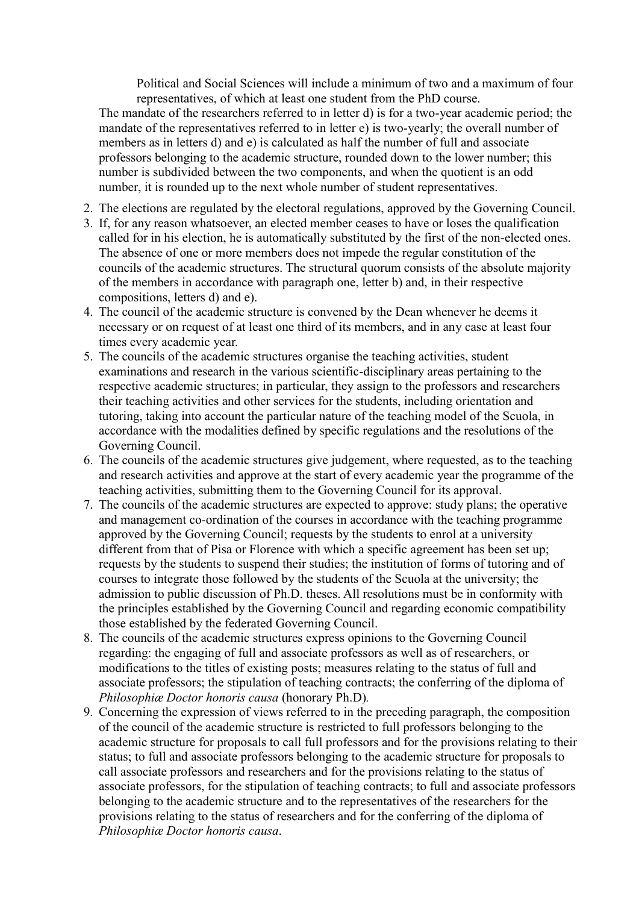Political and Social Sciences will include a minimum of two and a maximum of four representatives, of which at least one student from the PhD course.

The mandate of the researchers referred to in letter d) is for a two-year academic period; the mandate of the representatives referred to in letter e) is two-yearly; the overall number of members as in letters d) and e) is calculated as half the number of full and associate professors belonging to the academic structure, rounded down to the lower number; this number is subdivided between the two components, and when the quotient is an odd number, it is rounded up to the next whole number of student representatives.

- 2. The elections are regulated by the electoral regulations, approved by the Governing Council.
- 3. If, for any reason whatsoever, an elected member ceases to have or loses the qualification called for in his election, he is automatically substituted by the first of the non-elected ones. The absence of one or more members does not impede the regular constitution of the councils of the academic structures. The structural quorum consists of the absolute majority of the members in accordance with paragraph one, letter b) and, in their respective compositions, letters d) and e).
- 4. The council of the academic structure is convened by the Dean whenever he deems it necessary or on request of at least one third of its members, and in any case at least four times every academic year.
- 5. The councils of the academic structures organise the teaching activities, student examinations and research in the various scientific-disciplinary areas pertaining to the respective academic structures; in particular, they assign to the professors and researchers their teaching activities and other services for the students, including orientation and tutoring, taking into account the particular nature of the teaching model of the Scuola, in accordance with the modalities defined by specific regulations and the resolutions of the Governing Council.
- 6. The councils of the academic structures give judgement, where requested, as to the teaching and research activities and approve at the start of every academic year the programme of the teaching activities, submitting them to the Governing Council for its approval.
- 7. The councils of the academic structures are expected to approve: study plans; the operative and management co-ordination of the courses in accordance with the teaching programme approved by the Governing Council; requests by the students to enrol at a university different from that of Pisa or Florence with which a specific agreement has been set up; requests by the students to suspend their studies; the institution of forms of tutoring and of courses to integrate those followed by the students of the Scuola at the university; the admission to public discussion of Ph.D. theses. All resolutions must be in conformity with the principles established by the Governing Council and regarding economic compatibility those established by the federated Governing Council.
- 8. The councils of the academic structures express opinions to the Governing Council regarding: the engaging of full and associate professors as well as of researchers, or modifications to the titles of existing posts; measures relating to the status of full and associate professors; the stipulation of teaching contracts; the conferring of the diploma of *Philosophiæ Doctor honoris causa* (honorary Ph.D)*.*
- 9. Concerning the expression of views referred to in the preceding paragraph, the composition of the council of the academic structure is restricted to full professors belonging to the academic structure for proposals to call full professors and for the provisions relating to their status; to full and associate professors belonging to the academic structure for proposals to call associate professors and researchers and for the provisions relating to the status of associate professors, for the stipulation of teaching contracts; to full and associate professors belonging to the academic structure and to the representatives of the researchers for the provisions relating to the status of researchers and for the conferring of the diploma of *Philosophiæ Doctor honoris causa*.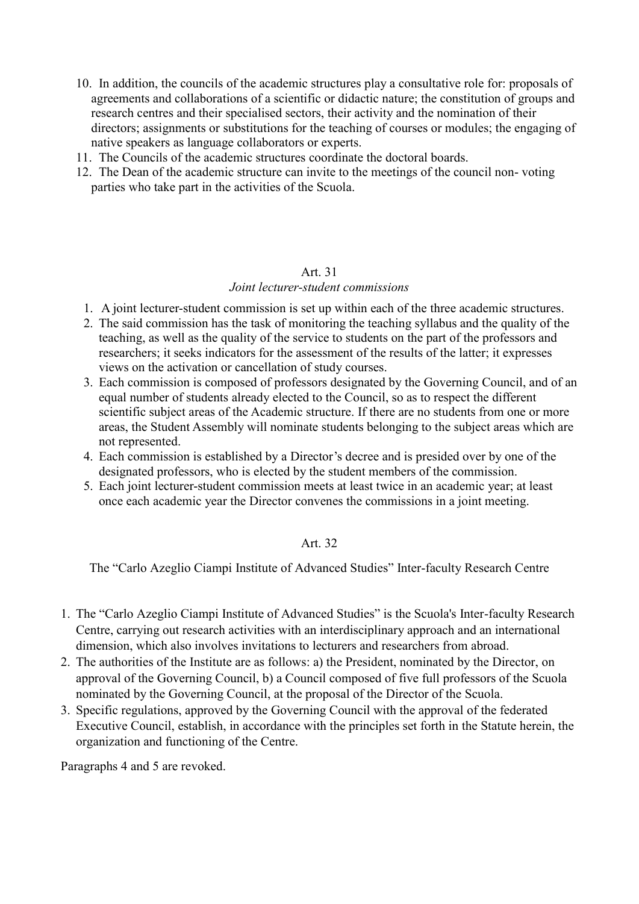- 10. In addition, the councils of the academic structures play a consultative role for: proposals of agreements and collaborations of a scientific or didactic nature; the constitution of groups and research centres and their specialised sectors, their activity and the nomination of their directors; assignments or substitutions for the teaching of courses or modules; the engaging of native speakers as language collaborators or experts.
- 11. The Councils of the academic structures coordinate the doctoral boards.
- 12. The Dean of the academic structure can invite to the meetings of the council non- voting parties who take part in the activities of the Scuola.

#### *Joint lecturer-student commissions*

- 1. A joint lecturer-student commission is set up within each of the three academic structures.
- 2. The said commission has the task of monitoring the teaching syllabus and the quality of the teaching, as well as the quality of the service to students on the part of the professors and researchers; it seeks indicators for the assessment of the results of the latter; it expresses views on the activation or cancellation of study courses.
- 3. Each commission is composed of professors designated by the Governing Council, and of an equal number of students already elected to the Council, so as to respect the different scientific subject areas of the Academic structure. If there are no students from one or more areas, the Student Assembly will nominate students belonging to the subject areas which are not represented.
- 4. Each commission is established by a Director's decree and is presided over by one of the designated professors, who is elected by the student members of the commission.
- 5. Each joint lecturer-student commission meets at least twice in an academic year; at least once each academic year the Director convenes the commissions in a joint meeting.

#### Art. 32

The "Carlo Azeglio Ciampi Institute of Advanced Studies" Inter-faculty Research Centre

- 1. The "Carlo Azeglio Ciampi Institute of Advanced Studies" is the Scuola's Inter-faculty Research Centre, carrying out research activities with an interdisciplinary approach and an international dimension, which also involves invitations to lecturers and researchers from abroad.
- 2. The authorities of the Institute are as follows: a) the President, nominated by the Director, on approval of the Governing Council, b) a Council composed of five full professors of the Scuola nominated by the Governing Council, at the proposal of the Director of the Scuola.
- 3. Specific regulations, approved by the Governing Council with the approval of the federated Executive Council, establish, in accordance with the principles set forth in the Statute herein, the organization and functioning of the Centre.

Paragraphs 4 and 5 are revoked.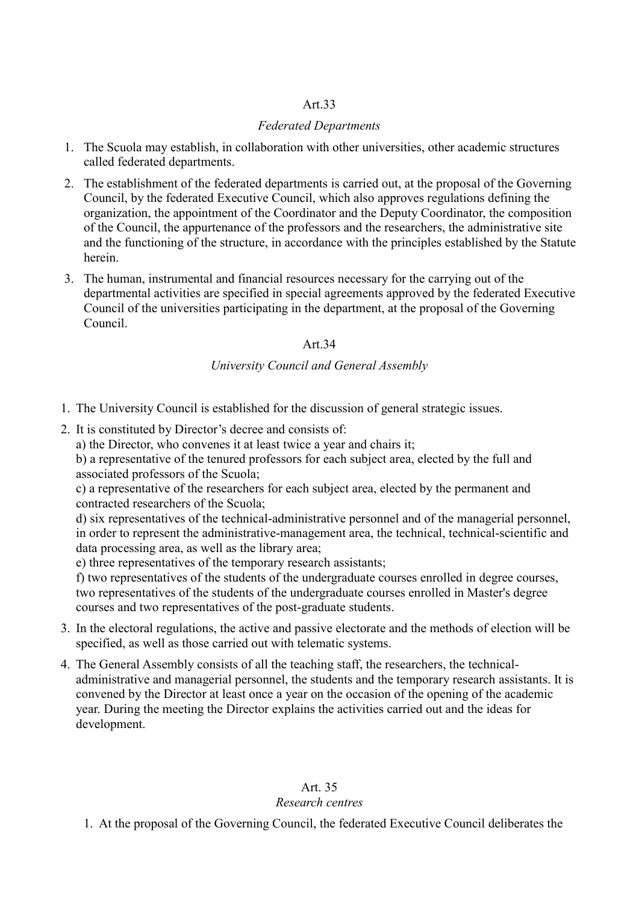### *Federated Departments*

- 1. The Scuola may establish, in collaboration with other universities, other academic structures called federated departments.
- 2. The establishment of the federated departments is carried out, at the proposal of the Governing Council, by the federated Executive Council, which also approves regulations defining the organization, the appointment of the Coordinator and the Deputy Coordinator, the composition of the Council, the appurtenance of the professors and the researchers, the administrative site and the functioning of the structure, in accordance with the principles established by the Statute herein.
- 3. The human, instrumental and financial resources necessary for the carrying out of the departmental activities are specified in special agreements approved by the federated Executive Council of the universities participating in the department, at the proposal of the Governing Council.

### Art.34

### *University Council and General Assembly*

- 1. The University Council is established for the discussion of general strategic issues.
- 2. It is constituted by Director's decree and consists of:

a) the Director, who convenes it at least twice a year and chairs it;

b) a representative of the tenured professors for each subject area, elected by the full and associated professors of the Scuola;

c) a representative of the researchers for each subject area, elected by the permanent and contracted researchers of the Scuola;

d) six representatives of the technical-administrative personnel and of the managerial personnel, in order to represent the administrative-management area, the technical, technical-scientific and data processing area, as well as the library area;

e) three representatives of the temporary research assistants;

f) two representatives of the students of the undergraduate courses enrolled in degree courses, two representatives of the students of the undergraduate courses enrolled in Master's degree courses and two representatives of the post-graduate students.

- 3. In the electoral regulations, the active and passive electorate and the methods of election will be specified, as well as those carried out with telematic systems.
- 4. The General Assembly consists of all the teaching staff, the researchers, the technicaladministrative and managerial personnel, the students and the temporary research assistants. It is convened by the Director at least once a year on the occasion of the opening of the academic year. During the meeting the Director explains the activities carried out and the ideas for development.

## Art. 35

### *Research centres*

1. At the proposal of the Governing Council, the federated Executive Council deliberates the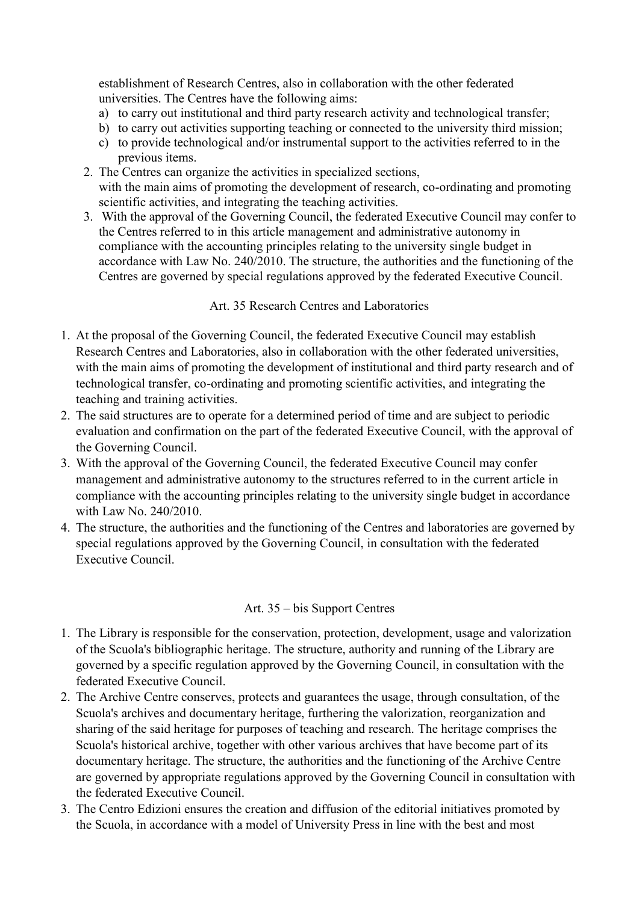establishment of Research Centres, also in collaboration with the other federated universities. The Centres have the following aims:

- a) to carry out institutional and third party research activity and technological transfer;
- b) to carry out activities supporting teaching or connected to the university third mission;
- c) to provide technological and/or instrumental support to the activities referred to in the previous items.
- 2. The Centres can organize the activities in specialized sections, with the main aims of promoting the development of research, co-ordinating and promoting scientific activities, and integrating the teaching activities.
- 3. With the approval of the Governing Council, the federated Executive Council may confer to the Centres referred to in this article management and administrative autonomy in compliance with the accounting principles relating to the university single budget in accordance with Law No. 240/2010. The structure, the authorities and the functioning of the Centres are governed by special regulations approved by the federated Executive Council.

### Art. 35 Research Centres and Laboratories

- 1. At the proposal of the Governing Council, the federated Executive Council may establish Research Centres and Laboratories, also in collaboration with the other federated universities, with the main aims of promoting the development of institutional and third party research and of technological transfer, co-ordinating and promoting scientific activities, and integrating the teaching and training activities.
- 2. The said structures are to operate for a determined period of time and are subject to periodic evaluation and confirmation on the part of the federated Executive Council, with the approval of the Governing Council.
- 3. With the approval of the Governing Council, the federated Executive Council may confer management and administrative autonomy to the structures referred to in the current article in compliance with the accounting principles relating to the university single budget in accordance with Law No. 240/2010.
- 4. The structure, the authorities and the functioning of the Centres and laboratories are governed by special regulations approved by the Governing Council, in consultation with the federated Executive Council.

### Art. 35 – bis Support Centres

- 1. The Library is responsible for the conservation, protection, development, usage and valorization of the Scuola's bibliographic heritage. The structure, authority and running of the Library are governed by a specific regulation approved by the Governing Council, in consultation with the federated Executive Council.
- 2. The Archive Centre conserves, protects and guarantees the usage, through consultation, of the Scuola's archives and documentary heritage, furthering the valorization, reorganization and sharing of the said heritage for purposes of teaching and research. The heritage comprises the Scuola's historical archive, together with other various archives that have become part of its documentary heritage. The structure, the authorities and the functioning of the Archive Centre are governed by appropriate regulations approved by the Governing Council in consultation with the federated Executive Council.
- 3. The Centro Edizioni ensures the creation and diffusion of the editorial initiatives promoted by the Scuola, in accordance with a model of University Press in line with the best and most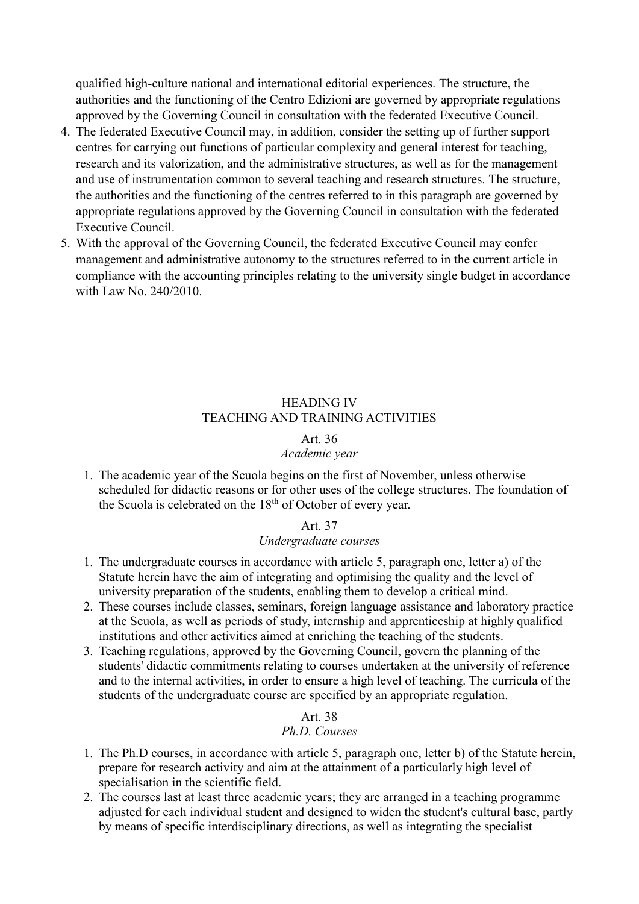qualified high-culture national and international editorial experiences. The structure, the authorities and the functioning of the Centro Edizioni are governed by appropriate regulations approved by the Governing Council in consultation with the federated Executive Council.

- 4. The federated Executive Council may, in addition, consider the setting up of further support centres for carrying out functions of particular complexity and general interest for teaching, research and its valorization, and the administrative structures, as well as for the management and use of instrumentation common to several teaching and research structures. The structure, the authorities and the functioning of the centres referred to in this paragraph are governed by appropriate regulations approved by the Governing Council in consultation with the federated Executive Council.
- 5. With the approval of the Governing Council, the federated Executive Council may confer management and administrative autonomy to the structures referred to in the current article in compliance with the accounting principles relating to the university single budget in accordance with Law No. 240/2010.

### HEADING IV TEACHING AND TRAINING ACTIVITIES

### Art. 36

#### *Academic year*

1. The academic year of the Scuola begins on the first of November, unless otherwise scheduled for didactic reasons or for other uses of the college structures. The foundation of the Scuola is celebrated on the 18<sup>th</sup> of October of every year.

### Art. 37

### *Undergraduate courses*

- 1. The undergraduate courses in accordance with article 5, paragraph one, letter a) of the Statute herein have the aim of integrating and optimising the quality and the level of university preparation of the students, enabling them to develop a critical mind.
- 2. These courses include classes, seminars, foreign language assistance and laboratory practice at the Scuola, as well as periods of study, internship and apprenticeship at highly qualified institutions and other activities aimed at enriching the teaching of the students.
- 3. Teaching regulations, approved by the Governing Council, govern the planning of the students' didactic commitments relating to courses undertaken at the university of reference and to the internal activities, in order to ensure a high level of teaching. The curricula of the students of the undergraduate course are specified by an appropriate regulation.

#### Art. 38 *Ph.D. Courses*

- 1. The Ph.D courses, in accordance with article 5, paragraph one, letter b) of the Statute herein, prepare for research activity and aim at the attainment of a particularly high level of specialisation in the scientific field.
- 2. The courses last at least three academic years; they are arranged in a teaching programme adjusted for each individual student and designed to widen the student's cultural base, partly by means of specific interdisciplinary directions, as well as integrating the specialist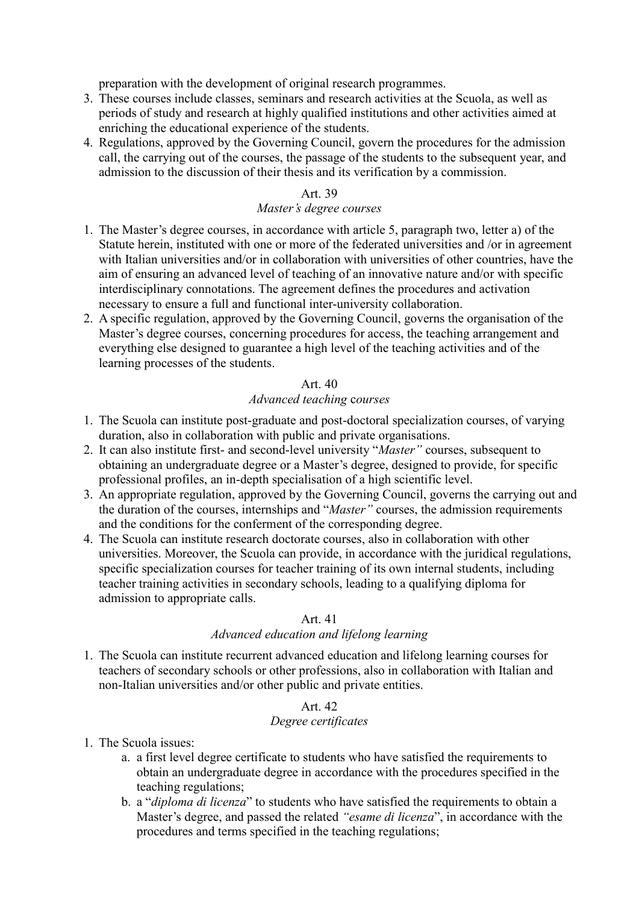preparation with the development of original research programmes.

- 3. These courses include classes, seminars and research activities at the Scuola, as well as periods of study and research at highly qualified institutions and other activities aimed at enriching the educational experience of the students.
- 4. Regulations, approved by the Governing Council, govern the procedures for the admission call, the carrying out of the courses, the passage of the students to the subsequent year, and admission to the discussion of their thesis and its verification by a commission.

### Art. 39

### *Master's degree courses*

- 1. The Master's degree courses, in accordance with article 5, paragraph two, letter a) of the Statute herein, instituted with one or more of the federated universities and /or in agreement with Italian universities and/or in collaboration with universities of other countries, have the aim of ensuring an advanced level of teaching of an innovative nature and/or with specific interdisciplinary connotations. The agreement defines the procedures and activation necessary to ensure a full and functional inter-university collaboration.
- 2. A specific regulation, approved by the Governing Council, governs the organisation of the Master's degree courses, concerning procedures for access, the teaching arrangement and everything else designed to guarantee a high level of the teaching activities and of the learning processes of the students.

### Art. 40

### *Advanced teaching* c*ourses*

- 1. The Scuola can institute post-graduate and post-doctoral specialization courses, of varying duration, also in collaboration with public and private organisations.
- 2. It can also institute first- and second-level university "*Master"* courses, subsequent to obtaining an undergraduate degree or a Master's degree, designed to provide, for specific professional profiles, an in-depth specialisation of a high scientific level.
- 3. An appropriate regulation, approved by the Governing Council, governs the carrying out and the duration of the courses, internships and "*Master"* courses, the admission requirements and the conditions for the conferment of the corresponding degree.
- 4. The Scuola can institute research doctorate courses, also in collaboration with other universities. Moreover, the Scuola can provide, in accordance with the juridical regulations, specific specialization courses for teacher training of its own internal students, including teacher training activities in secondary schools, leading to a qualifying diploma for admission to appropriate calls.

### Art. 41

### *Advanced education and lifelong learning*

1. The Scuola can institute recurrent advanced education and lifelong learning courses for teachers of secondary schools or other professions, also in collaboration with Italian and non-Italian universities and/or other public and private entities.

### Art. 42

### *Degree certificates*

- 1. The Scuola issues:
	- a. a first level degree certificate to students who have satisfied the requirements to obtain an undergraduate degree in accordance with the procedures specified in the teaching regulations;
	- b. a "*diploma di licenza*" to students who have satisfied the requirements to obtain a Master's degree, and passed the related *"esame di licenza*", in accordance with the procedures and terms specified in the teaching regulations;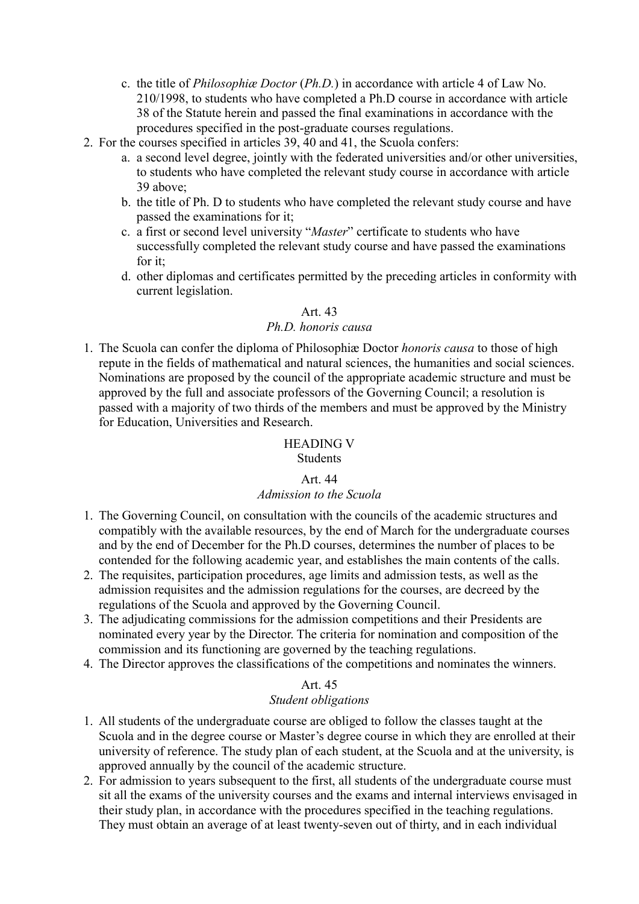- c. the title of *Philosophiæ Doctor* (*Ph.D.*) in accordance with article 4 of Law No. 210/1998, to students who have completed a Ph.D course in accordance with article 38 of the Statute herein and passed the final examinations in accordance with the procedures specified in the post-graduate courses regulations.
- 2. For the courses specified in articles 39, 40 and 41, the Scuola confers:
	- a. a second level degree, jointly with the federated universities and/or other universities, to students who have completed the relevant study course in accordance with article 39 above;
	- b. the title of Ph. D to students who have completed the relevant study course and have passed the examinations for it;
	- c. a first or second level university "*Master*" certificate to students who have successfully completed the relevant study course and have passed the examinations for it;
	- d. other diplomas and certificates permitted by the preceding articles in conformity with current legislation.

### *Ph.D. honoris causa*

1. The Scuola can confer the diploma of Philosophiæ Doctor *honoris causa* to those of high repute in the fields of mathematical and natural sciences, the humanities and social sciences. Nominations are proposed by the council of the appropriate academic structure and must be approved by the full and associate professors of the Governing Council; a resolution is passed with a majority of two thirds of the members and must be approved by the Ministry for Education, Universities and Research.

#### HEADING V

### **Students**

### Art. 44

#### *Admission to the Scuola*

- 1. The Governing Council, on consultation with the councils of the academic structures and compatibly with the available resources, by the end of March for the undergraduate courses and by the end of December for the Ph.D courses, determines the number of places to be contended for the following academic year, and establishes the main contents of the calls.
- 2. The requisites, participation procedures, age limits and admission tests, as well as the admission requisites and the admission regulations for the courses, are decreed by the regulations of the Scuola and approved by the Governing Council.
- 3. The adjudicating commissions for the admission competitions and their Presidents are nominated every year by the Director. The criteria for nomination and composition of the commission and its functioning are governed by the teaching regulations.
- 4. The Director approves the classifications of the competitions and nominates the winners.

#### Art. 45

#### *Student obligations*

- 1. All students of the undergraduate course are obliged to follow the classes taught at the Scuola and in the degree course or Master's degree course in which they are enrolled at their university of reference. The study plan of each student, at the Scuola and at the university, is approved annually by the council of the academic structure.
- 2. For admission to years subsequent to the first, all students of the undergraduate course must sit all the exams of the university courses and the exams and internal interviews envisaged in their study plan, in accordance with the procedures specified in the teaching regulations. They must obtain an average of at least twenty-seven out of thirty, and in each individual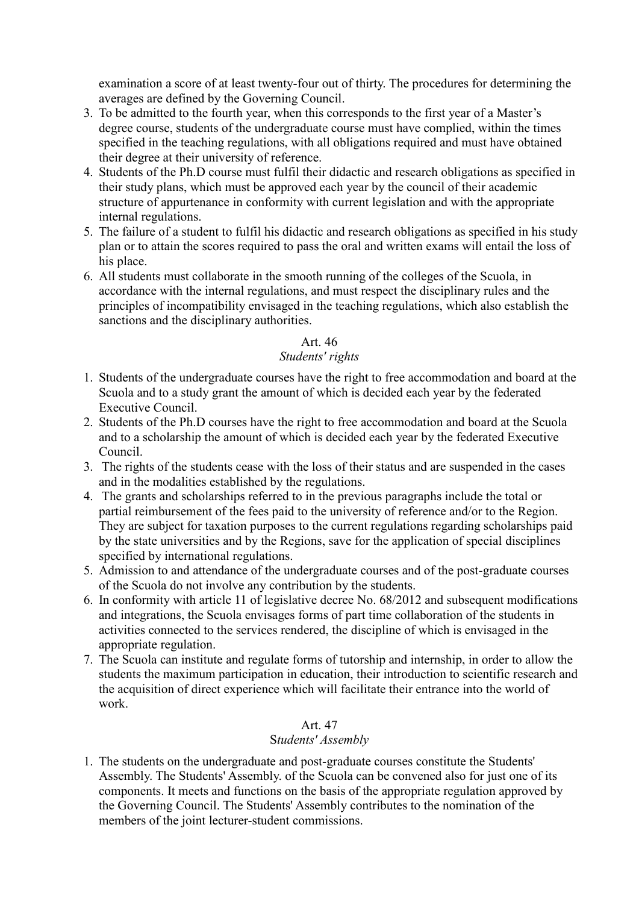examination a score of at least twenty-four out of thirty. The procedures for determining the averages are defined by the Governing Council.

- 3. To be admitted to the fourth year, when this corresponds to the first year of a Master's degree course, students of the undergraduate course must have complied, within the times specified in the teaching regulations, with all obligations required and must have obtained their degree at their university of reference.
- 4. Students of the Ph.D course must fulfil their didactic and research obligations as specified in their study plans, which must be approved each year by the council of their academic structure of appurtenance in conformity with current legislation and with the appropriate internal regulations.
- 5. The failure of a student to fulfil his didactic and research obligations as specified in his study plan or to attain the scores required to pass the oral and written exams will entail the loss of his place.
- 6. All students must collaborate in the smooth running of the colleges of the Scuola, in accordance with the internal regulations, and must respect the disciplinary rules and the principles of incompatibility envisaged in the teaching regulations, which also establish the sanctions and the disciplinary authorities.

### Art. 46

### *Students' rights*

- 1. Students of the undergraduate courses have the right to free accommodation and board at the Scuola and to a study grant the amount of which is decided each year by the federated Executive Council.
- 2. Students of the Ph.D courses have the right to free accommodation and board at the Scuola and to a scholarship the amount of which is decided each year by the federated Executive Council.
- 3. The rights of the students cease with the loss of their status and are suspended in the cases and in the modalities established by the regulations.
- 4. The grants and scholarships referred to in the previous paragraphs include the total or partial reimbursement of the fees paid to the university of reference and/or to the Region. They are subject for taxation purposes to the current regulations regarding scholarships paid by the state universities and by the Regions, save for the application of special disciplines specified by international regulations.
- 5. Admission to and attendance of the undergraduate courses and of the post-graduate courses of the Scuola do not involve any contribution by the students.
- 6. In conformity with article 11 of legislative decree No. 68/2012 and subsequent modifications and integrations, the Scuola envisages forms of part time collaboration of the students in activities connected to the services rendered, the discipline of which is envisaged in the appropriate regulation.
- 7. The Scuola can institute and regulate forms of tutorship and internship, in order to allow the students the maximum participation in education, their introduction to scientific research and the acquisition of direct experience which will facilitate their entrance into the world of work.

### Art. 47

### S*tudents' Assembly*

1. The students on the undergraduate and post-graduate courses constitute the Students' Assembly. The Students' Assembly. of the Scuola can be convened also for just one of its components. It meets and functions on the basis of the appropriate regulation approved by the Governing Council. The Students' Assembly contributes to the nomination of the members of the joint lecturer-student commissions.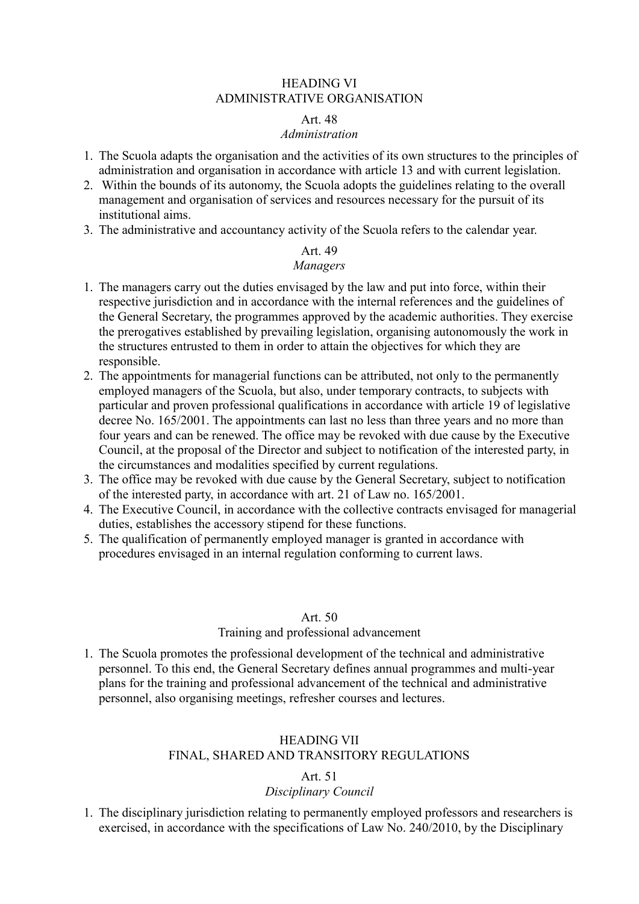#### HEADING VI ADMINISTRATIVE ORGANISATION

#### Art. 48

#### *Administration*

- 1. The Scuola adapts the organisation and the activities of its own structures to the principles of administration and organisation in accordance with article 13 and with current legislation.
- 2. Within the bounds of its autonomy, the Scuola adopts the guidelines relating to the overall management and organisation of services and resources necessary for the pursuit of its institutional aims.
- 3. The administrative and accountancy activity of the Scuola refers to the calendar year.

## Art. 49

### *Managers*

- 1. The managers carry out the duties envisaged by the law and put into force, within their respective jurisdiction and in accordance with the internal references and the guidelines of the General Secretary, the programmes approved by the academic authorities. They exercise the prerogatives established by prevailing legislation, organising autonomously the work in the structures entrusted to them in order to attain the objectives for which they are responsible.
- 2. The appointments for managerial functions can be attributed, not only to the permanently employed managers of the Scuola, but also, under temporary contracts, to subjects with particular and proven professional qualifications in accordance with article 19 of legislative decree No. 165/2001. The appointments can last no less than three years and no more than four years and can be renewed. The office may be revoked with due cause by the Executive Council, at the proposal of the Director and subject to notification of the interested party, in the circumstances and modalities specified by current regulations.
- 3. The office may be revoked with due cause by the General Secretary, subject to notification of the interested party, in accordance with art. 21 of Law no. 165/2001.
- 4. The Executive Council, in accordance with the collective contracts envisaged for managerial duties, establishes the accessory stipend for these functions.
- 5. The qualification of permanently employed manager is granted in accordance with procedures envisaged in an internal regulation conforming to current laws.

#### Art. 50

#### Training and professional advancement

1. The Scuola promotes the professional development of the technical and administrative personnel. To this end, the General Secretary defines annual programmes and multi-year plans for the training and professional advancement of the technical and administrative personnel, also organising meetings, refresher courses and lectures.

### HEADING VII FINAL, SHARED AND TRANSITORY REGULATIONS

#### Art. 51

### *Disciplinary Council*

1. The disciplinary jurisdiction relating to permanently employed professors and researchers is exercised, in accordance with the specifications of Law No. 240/2010, by the Disciplinary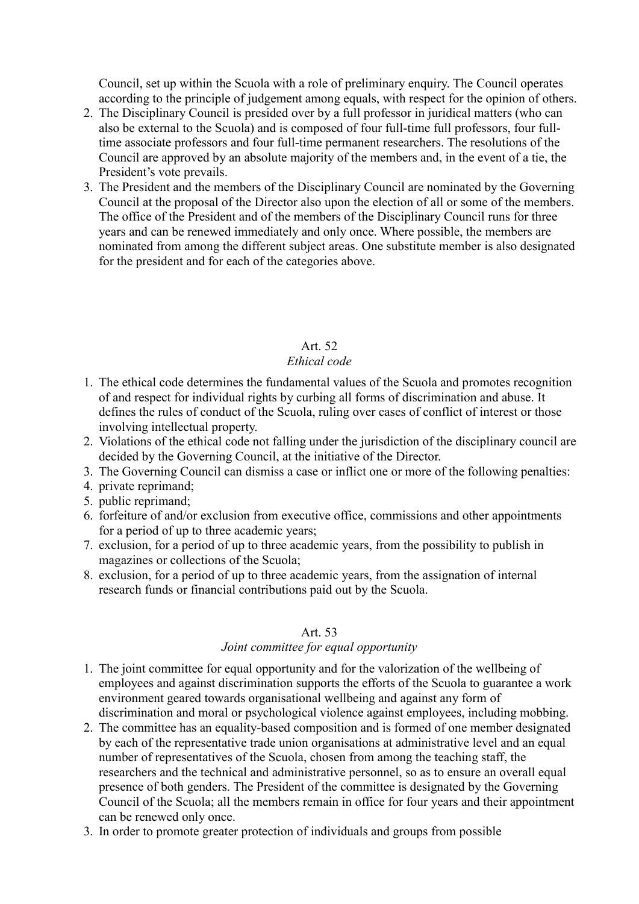Council, set up within the Scuola with a role of preliminary enquiry. The Council operates according to the principle of judgement among equals, with respect for the opinion of others.

- 2. The Disciplinary Council is presided over by a full professor in juridical matters (who can also be external to the Scuola) and is composed of four full-time full professors, four fulltime associate professors and four full-time permanent researchers. The resolutions of the Council are approved by an absolute majority of the members and, in the event of a tie, the President's vote prevails.
- 3. The President and the members of the Disciplinary Council are nominated by the Governing Council at the proposal of the Director also upon the election of all or some of the members. The office of the President and of the members of the Disciplinary Council runs for three years and can be renewed immediately and only once. Where possible, the members are nominated from among the different subject areas. One substitute member is also designated for the president and for each of the categories above.

### Art. 52

### *Ethical code*

- 1. The ethical code determines the fundamental values of the Scuola and promotes recognition of and respect for individual rights by curbing all forms of discrimination and abuse. It defines the rules of conduct of the Scuola, ruling over cases of conflict of interest or those involving intellectual property.
- 2. Violations of the ethical code not falling under the jurisdiction of the disciplinary council are decided by the Governing Council, at the initiative of the Director.
- 3. The Governing Council can dismiss a case or inflict one or more of the following penalties:
- 4. private reprimand;
- 5. public reprimand;
- 6. forfeiture of and/or exclusion from executive office, commissions and other appointments for a period of up to three academic years;
- 7. exclusion, for a period of up to three academic years, from the possibility to publish in magazines or collections of the Scuola;
- 8. exclusion, for a period of up to three academic years, from the assignation of internal research funds or financial contributions paid out by the Scuola.

#### Art. 53

#### *Joint committee for equal opportunity*

- 1. The joint committee for equal opportunity and for the valorization of the wellbeing of employees and against discrimination supports the efforts of the Scuola to guarantee a work environment geared towards organisational wellbeing and against any form of discrimination and moral or psychological violence against employees, including mobbing.
- 2. The committee has an equality-based composition and is formed of one member designated by each of the representative trade union organisations at administrative level and an equal number of representatives of the Scuola, chosen from among the teaching staff, the researchers and the technical and administrative personnel, so as to ensure an overall equal presence of both genders. The President of the committee is designated by the Governing Council of the Scuola; all the members remain in office for four years and their appointment can be renewed only once.
- 3. In order to promote greater protection of individuals and groups from possible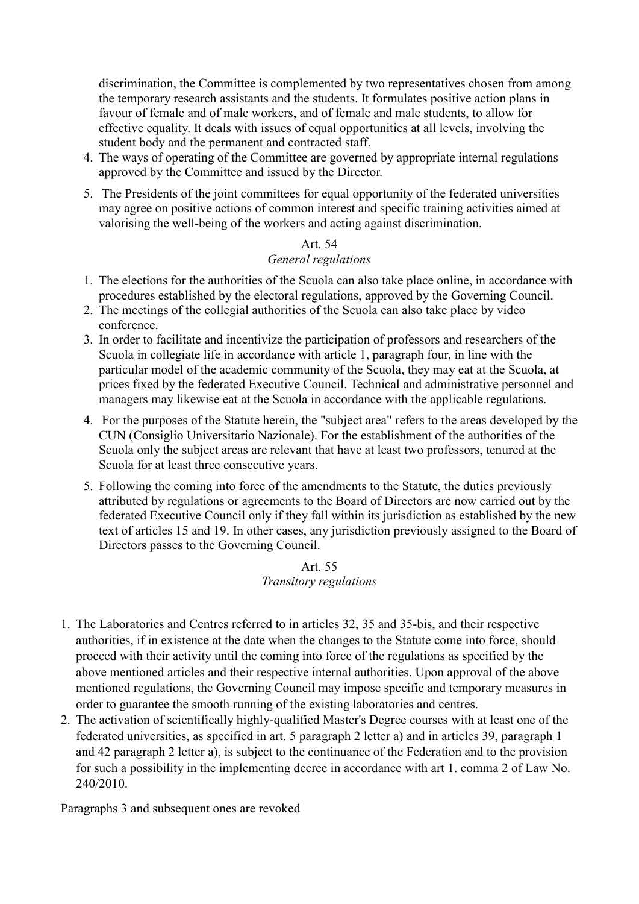discrimination, the Committee is complemented by two representatives chosen from among the temporary research assistants and the students. It formulates positive action plans in favour of female and of male workers, and of female and male students, to allow for effective equality. It deals with issues of equal opportunities at all levels, involving the student body and the permanent and contracted staff.

- 4. The ways of operating of the Committee are governed by appropriate internal regulations approved by the Committee and issued by the Director.
- 5. The Presidents of the joint committees for equal opportunity of the federated universities may agree on positive actions of common interest and specific training activities aimed at valorising the well-being of the workers and acting against discrimination.

# Art. 54

### *General regulations*

- 1. The elections for the authorities of the Scuola can also take place online, in accordance with procedures established by the electoral regulations, approved by the Governing Council.
- 2. The meetings of the collegial authorities of the Scuola can also take place by video conference.
- 3. In order to facilitate and incentivize the participation of professors and researchers of the Scuola in collegiate life in accordance with article 1, paragraph four, in line with the particular model of the academic community of the Scuola, they may eat at the Scuola, at prices fixed by the federated Executive Council. Technical and administrative personnel and managers may likewise eat at the Scuola in accordance with the applicable regulations.
- 4. For the purposes of the Statute herein, the "subject area" refers to the areas developed by the CUN (Consiglio Universitario Nazionale). For the establishment of the authorities of the Scuola only the subject areas are relevant that have at least two professors, tenured at the Scuola for at least three consecutive years.
- 5. Following the coming into force of the amendments to the Statute, the duties previously attributed by regulations or agreements to the Board of Directors are now carried out by the federated Executive Council only if they fall within its jurisdiction as established by the new text of articles 15 and 19. In other cases, any jurisdiction previously assigned to the Board of Directors passes to the Governing Council.

#### Art. 55 *Transitory regulations*

- 1. The Laboratories and Centres referred to in articles 32, 35 and 35-bis, and their respective authorities, if in existence at the date when the changes to the Statute come into force, should proceed with their activity until the coming into force of the regulations as specified by the above mentioned articles and their respective internal authorities. Upon approval of the above mentioned regulations, the Governing Council may impose specific and temporary measures in order to guarantee the smooth running of the existing laboratories and centres.
- 2. The activation of scientifically highly-qualified Master's Degree courses with at least one of the federated universities, as specified in art. 5 paragraph 2 letter a) and in articles 39, paragraph 1 and 42 paragraph 2 letter a), is subject to the continuance of the Federation and to the provision for such a possibility in the implementing decree in accordance with art 1. comma 2 of Law No. 240/2010.

Paragraphs 3 and subsequent ones are revoked